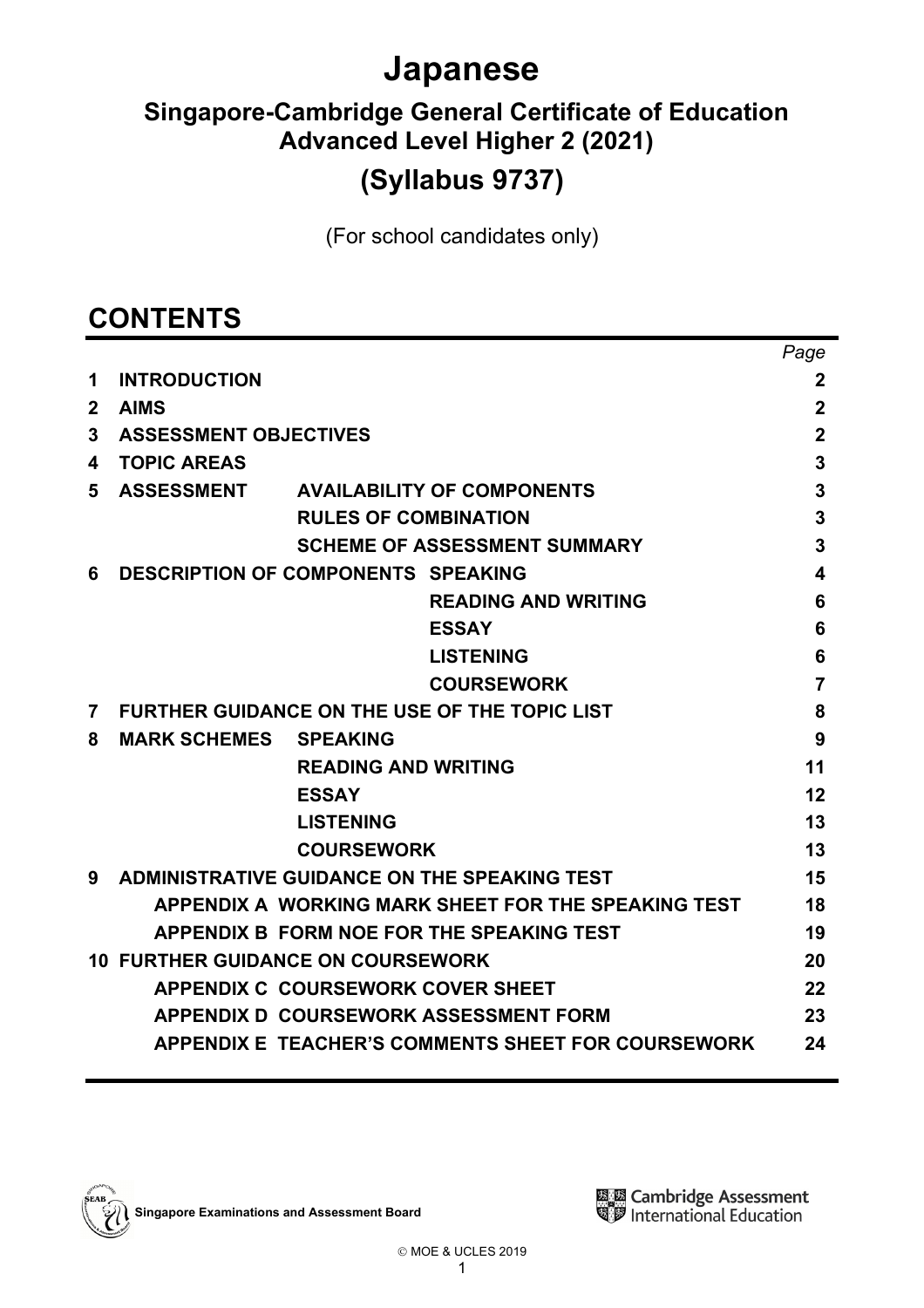# **Japanese**

# **Singapore-Cambridge General Certificate of Education Advanced Level Higher 2 (2021)**

# **(Syllabus 9737)**

(For school candidates only)

# **CONTENTS**

|              |                                                           | Page             |
|--------------|-----------------------------------------------------------|------------------|
| 1            | <b>INTRODUCTION</b>                                       | $\boldsymbol{2}$ |
| $\mathbf{2}$ | <b>AIMS</b>                                               | $\mathbf 2$      |
| 3            | <b>ASSESSMENT OBJECTIVES</b>                              | $\mathbf 2$      |
| 4            | <b>TOPIC AREAS</b>                                        | 3                |
| 5            | ASSESSMENT AVAILABILITY OF COMPONENTS                     | 3                |
|              | <b>RULES OF COMBINATION</b>                               | 3                |
|              | <b>SCHEME OF ASSESSMENT SUMMARY</b>                       | 3                |
| 6            | <b>DESCRIPTION OF COMPONENTS SPEAKING</b>                 | 4                |
|              | <b>READING AND WRITING</b>                                | 6                |
|              | <b>ESSAY</b>                                              | 6                |
|              | <b>LISTENING</b>                                          | 6                |
|              | <b>COURSEWORK</b>                                         | $\overline{7}$   |
| 7            | <b>FURTHER GUIDANCE ON THE USE OF THE TOPIC LIST</b>      | 8                |
| 8            | <b>MARK SCHEMES</b><br><b>SPEAKING</b>                    | 9                |
|              | <b>READING AND WRITING</b>                                | 11               |
|              | <b>ESSAY</b>                                              | 12               |
|              | <b>LISTENING</b>                                          | 13               |
|              | <b>COURSEWORK</b>                                         | 13               |
| 9            | <b>ADMINISTRATIVE GUIDANCE ON THE SPEAKING TEST</b>       | 15               |
|              | APPENDIX A WORKING MARK SHEET FOR THE SPEAKING TEST       | 18               |
|              | APPENDIX B FORM NOE FOR THE SPEAKING TEST                 | 19               |
|              | <b>10 FURTHER GUIDANCE ON COURSEWORK</b>                  | 20               |
|              | <b>APPENDIX C COURSEWORK COVER SHEET</b>                  | 22               |
|              | APPENDIX D COURSEWORK ASSESSMENT FORM                     | 23               |
|              | <b>APPENDIX E TEACHER'S COMMENTS SHEET FOR COURSEWORK</b> | 24               |
|              |                                                           |                  |

**Singapore Examinations and Assessment Board**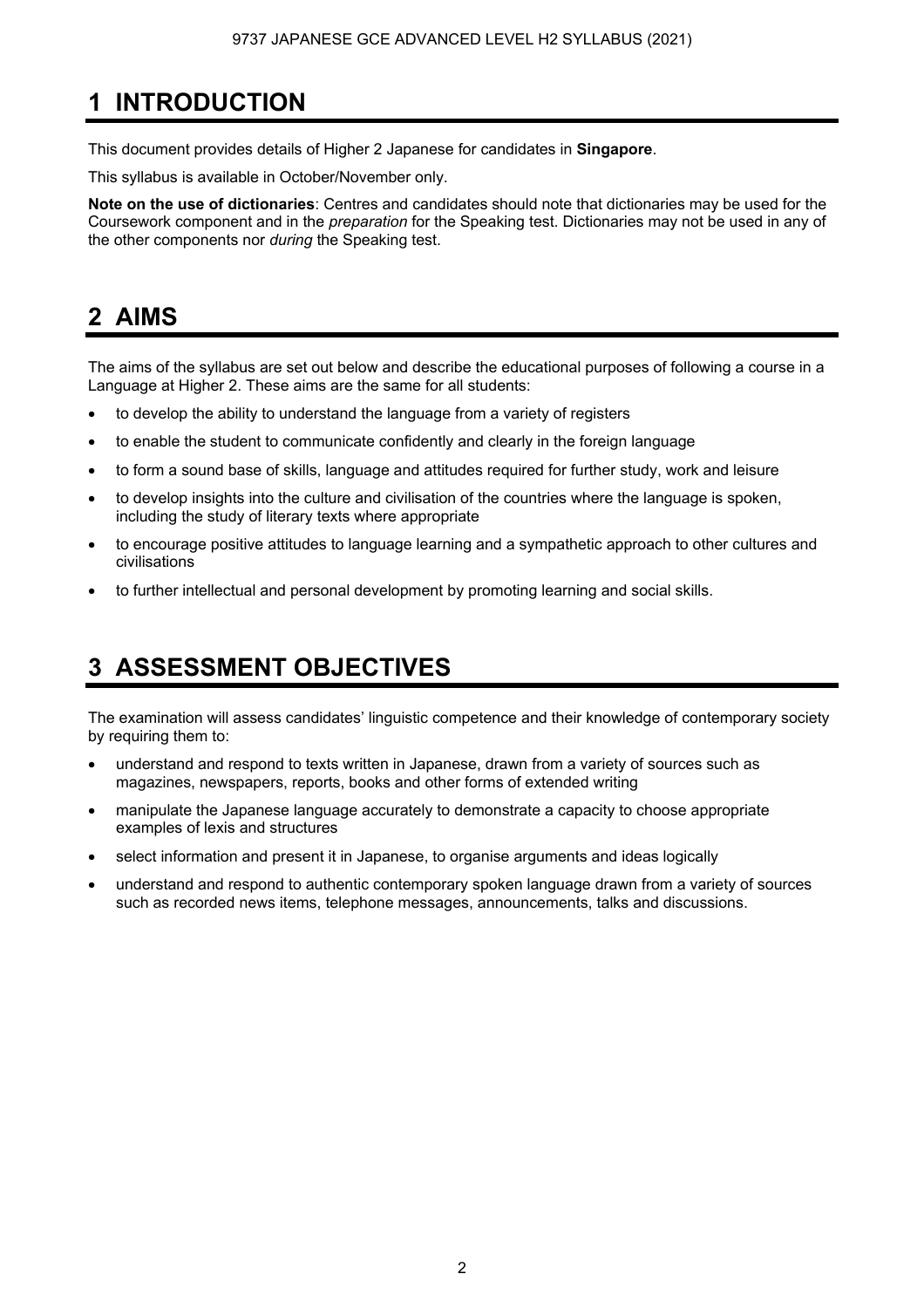## **1 INTRODUCTION**

This document provides details of Higher 2 Japanese for candidates in **Singapore**.

This syllabus is available in October/November only.

**Note on the use of dictionaries**: Centres and candidates should note that dictionaries may be used for the Coursework component and in the *preparation* for the Speaking test. Dictionaries may not be used in any of the other components nor *during* the Speaking test.

## **2 AIMS**

The aims of the syllabus are set out below and describe the educational purposes of following a course in a Language at Higher 2. These aims are the same for all students:

- to develop the ability to understand the language from a variety of registers
- to enable the student to communicate confidently and clearly in the foreign language
- to form a sound base of skills, language and attitudes required for further study, work and leisure
- to develop insights into the culture and civilisation of the countries where the language is spoken, including the study of literary texts where appropriate
- to encourage positive attitudes to language learning and a sympathetic approach to other cultures and civilisations
- to further intellectual and personal development by promoting learning and social skills.

## **3 ASSESSMENT OBJECTIVES**

The examination will assess candidates' linguistic competence and their knowledge of contemporary society by requiring them to:

- understand and respond to texts written in Japanese, drawn from a variety of sources such as magazines, newspapers, reports, books and other forms of extended writing
- manipulate the Japanese language accurately to demonstrate a capacity to choose appropriate examples of lexis and structures
- select information and present it in Japanese, to organise arguments and ideas logically
- understand and respond to authentic contemporary spoken language drawn from a variety of sources such as recorded news items, telephone messages, announcements, talks and discussions.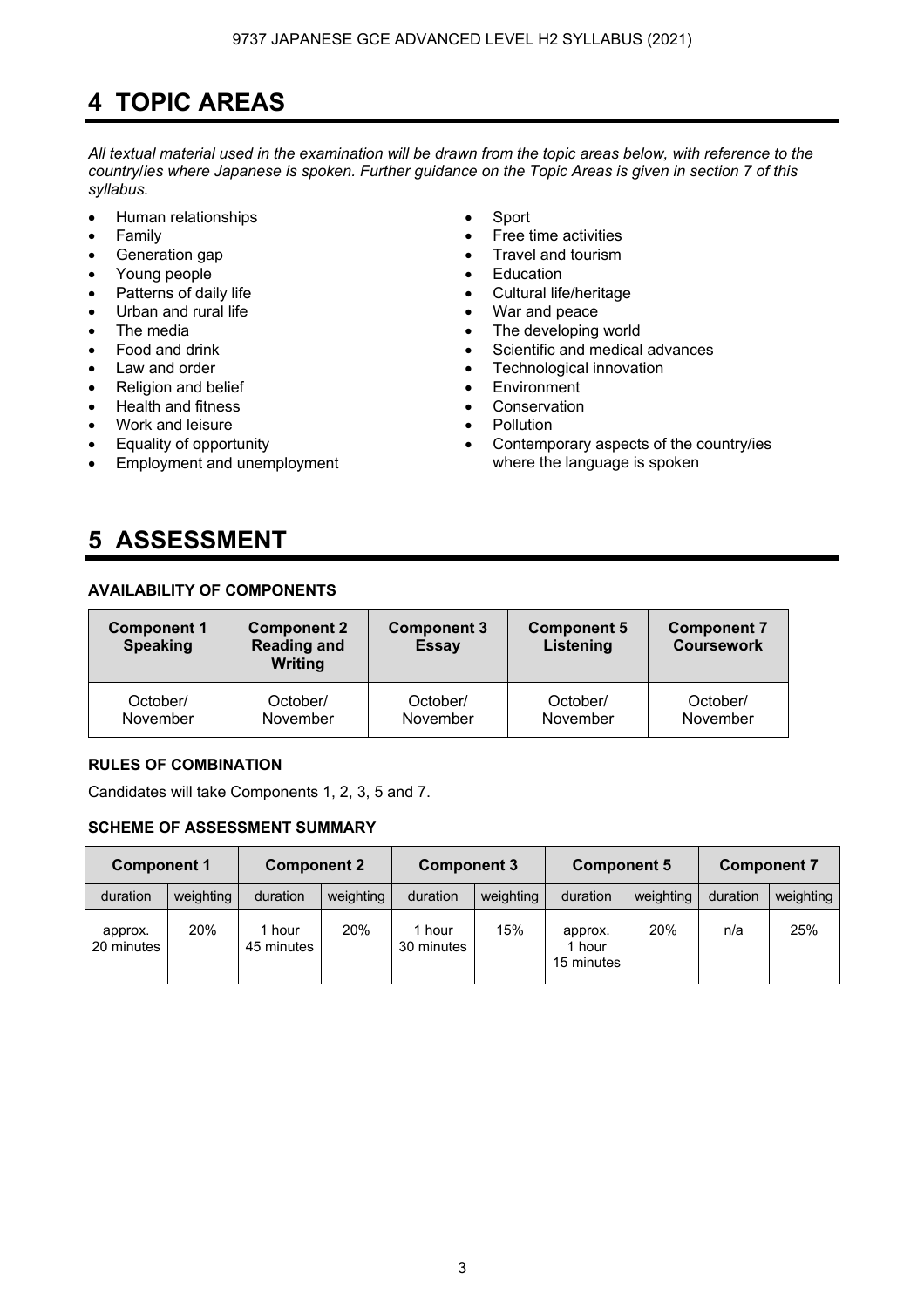## **4 TOPIC AREAS**

*All textual material used in the examination will be drawn from the topic areas below, with reference to the country*/*ies where Japanese is spoken. Further guidance on the Topic Areas is given in section 7 of this syllabus.* 

- Human relationships Sport
- 
- 
- Young people Education
- 
- 
- 
- 
- 
- Religion and belief
- Health and fitness  **Conservation**
- Work and leisure Pollution
- Equality of opportunity
- Employment and unemployment
- 
- Family **•** Free time activities
- Generation gap **•** Travel and tourism
	-
- Patterns of daily life  **Cultural life/heritage** 
	- Urban and rural life **•** War and peace
	- The media **Figure 1** The developing world Food and drink
		- Scientific and medical advances
- Law and order **•** Caw and order **• Fechnological innovation**<br>• Religion and belief **• Fechnological •** Environment
	-
	-
	-
	- Contemporary aspects of the country/ies where the language is spoken

## **5 ASSESSMENT**

## **AVAILABILITY OF COMPONENTS**

| <b>Component 1</b><br><b>Speaking</b> | <b>Component 2</b><br><b>Reading and</b><br><b>Writing</b> | <b>Component 3</b><br><b>Essay</b> | <b>Component 5</b><br>Listening | <b>Component 7</b><br><b>Coursework</b> |
|---------------------------------------|------------------------------------------------------------|------------------------------------|---------------------------------|-----------------------------------------|
| October/                              | October/                                                   | October/                           | October/                        | October/                                |
| November                              | November                                                   | November                           | November                        | November                                |

## **RULES OF COMBINATION**

Candidates will take Components 1, 2, 3, 5 and 7.

## **SCHEME OF ASSESSMENT SUMMARY**

| <b>Component 1</b>    |            | <b>Component 2</b> |           | <b>Component 3</b>   |           | <b>Component 5</b>              |           | <b>Component 7</b> |           |
|-----------------------|------------|--------------------|-----------|----------------------|-----------|---------------------------------|-----------|--------------------|-----------|
| duration              | weighting  | duration           | weighting | duration             | weighting | duration                        | weighting | duration           | weighting |
| approx.<br>20 minutes | <b>20%</b> | hour<br>45 minutes | 20%       | 1 hour<br>30 minutes | 15%       | approx.<br>1 hour<br>15 minutes | 20%       | n/a                | 25%       |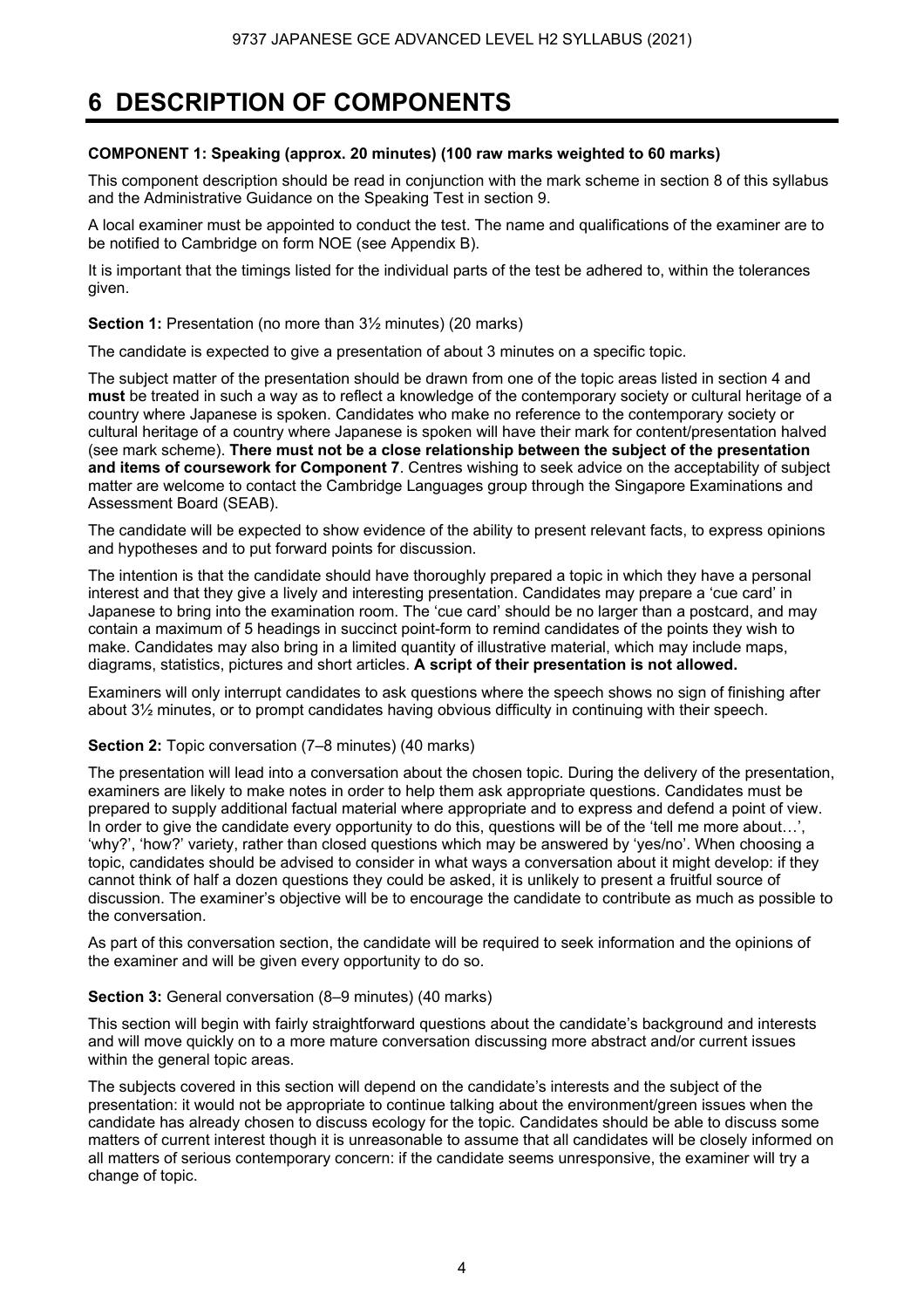## **6 DESCRIPTION OF COMPONENTS**

## **COMPONENT 1: Speaking (approx. 20 minutes) (100 raw marks weighted to 60 marks)**

This component description should be read in conjunction with the mark scheme in section 8 of this syllabus and the Administrative Guidance on the Speaking Test in section 9.

A local examiner must be appointed to conduct the test. The name and qualifications of the examiner are to be notified to Cambridge on form NOE (see Appendix B).

It is important that the timings listed for the individual parts of the test be adhered to, within the tolerances given.

**Section 1:** Presentation (no more than  $3\frac{1}{2}$  minutes) (20 marks)

The candidate is expected to give a presentation of about 3 minutes on a specific topic.

The subject matter of the presentation should be drawn from one of the topic areas listed in section 4 and **must** be treated in such a way as to reflect a knowledge of the contemporary society or cultural heritage of a country where Japanese is spoken. Candidates who make no reference to the contemporary society or cultural heritage of a country where Japanese is spoken will have their mark for content/presentation halved (see mark scheme). **There must not be a close relationship between the subject of the presentation and items of coursework for Component 7**. Centres wishing to seek advice on the acceptability of subject matter are welcome to contact the Cambridge Languages group through the Singapore Examinations and Assessment Board (SEAB).

The candidate will be expected to show evidence of the ability to present relevant facts, to express opinions and hypotheses and to put forward points for discussion.

The intention is that the candidate should have thoroughly prepared a topic in which they have a personal interest and that they give a lively and interesting presentation. Candidates may prepare a 'cue card' in Japanese to bring into the examination room. The 'cue card' should be no larger than a postcard, and may contain a maximum of 5 headings in succinct point-form to remind candidates of the points they wish to make. Candidates may also bring in a limited quantity of illustrative material, which may include maps, diagrams, statistics, pictures and short articles. **A script of their presentation is not allowed.**

Examiners will only interrupt candidates to ask questions where the speech shows no sign of finishing after about 3½ minutes, or to prompt candidates having obvious difficulty in continuing with their speech.

#### **Section 2:** Topic conversation (7–8 minutes) (40 marks)

The presentation will lead into a conversation about the chosen topic. During the delivery of the presentation, examiners are likely to make notes in order to help them ask appropriate questions. Candidates must be prepared to supply additional factual material where appropriate and to express and defend a point of view. In order to give the candidate every opportunity to do this, questions will be of the 'tell me more about...'. 'why?', 'how?' variety, rather than closed questions which may be answered by 'yes/no'. When choosing a topic, candidates should be advised to consider in what ways a conversation about it might develop: if they cannot think of half a dozen questions they could be asked, it is unlikely to present a fruitful source of discussion. The examiner's objective will be to encourage the candidate to contribute as much as possible to the conversation.

As part of this conversation section, the candidate will be required to seek information and the opinions of the examiner and will be given every opportunity to do so.

#### **Section 3:** General conversation (8–9 minutes) (40 marks)

This section will begin with fairly straightforward questions about the candidate's background and interests and will move quickly on to a more mature conversation discussing more abstract and/or current issues within the general topic areas.

The subjects covered in this section will depend on the candidate's interests and the subject of the presentation: it would not be appropriate to continue talking about the environment/green issues when the candidate has already chosen to discuss ecology for the topic. Candidates should be able to discuss some matters of current interest though it is unreasonable to assume that all candidates will be closely informed on all matters of serious contemporary concern: if the candidate seems unresponsive, the examiner will try a change of topic.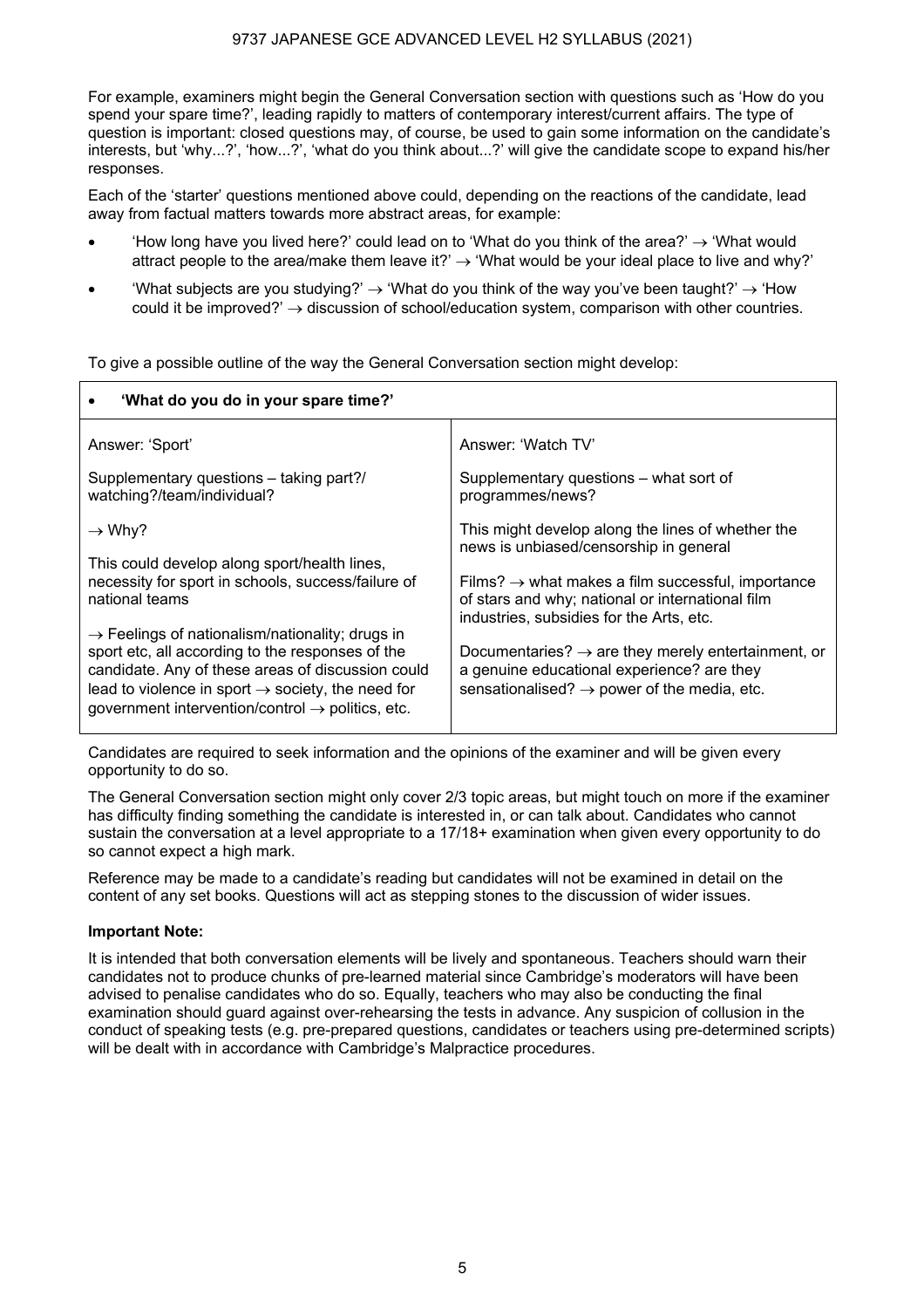For example, examiners might begin the General Conversation section with questions such as 'How do you spend your spare time?', leading rapidly to matters of contemporary interest/current affairs. The type of question is important: closed questions may, of course, be used to gain some information on the candidate's interests, but 'why...?', 'how...?', 'what do you think about...?' will give the candidate scope to expand his/her responses.

Each of the 'starter' questions mentioned above could, depending on the reactions of the candidate, lead away from factual matters towards more abstract areas, for example:

- How long have you lived here?' could lead on to 'What do you think of the area?'  $\rightarrow$  'What would' attract people to the area/make them leave it?'  $\rightarrow$  'What would be your ideal place to live and why?'
- What subjects are you studying?'  $\rightarrow$  'What do you think of the way you've been taught?'  $\rightarrow$  'How could it be improved?'  $\rightarrow$  discussion of school/education system, comparison with other countries.

• **'What do you do in your spare time?'** Answer: 'Sport' Supplementary questions – taking part?/ watching?/team/individual?  $\rightarrow$  Why? This could develop along sport/health lines, necessity for sport in schools, success/failure of national teams  $\rightarrow$  Feelings of nationalism/nationality; drugs in sport etc, all according to the responses of the candidate. Any of these areas of discussion could lead to violence in sport  $\rightarrow$  society, the need for  $a$ overnment intervention/control  $\rightarrow$  politics, etc. Answer: 'Watch TV' Supplementary questions – what sort of programmes/news? This might develop along the lines of whether the news is unbiased/censorship in general Films?  $\rightarrow$  what makes a film successful, importance of stars and why; national or international film industries, subsidies for the Arts, etc. Documentaries?  $\rightarrow$  are they merely entertainment, or a genuine educational experience? are they sensationalised?  $\rightarrow$  power of the media, etc.

To give a possible outline of the way the General Conversation section might develop:

Candidates are required to seek information and the opinions of the examiner and will be given every opportunity to do so.

The General Conversation section might only cover 2/3 topic areas, but might touch on more if the examiner has difficulty finding something the candidate is interested in, or can talk about. Candidates who cannot sustain the conversation at a level appropriate to a 17/18+ examination when given every opportunity to do so cannot expect a high mark.

Reference may be made to a candidate's reading but candidates will not be examined in detail on the content of any set books. Questions will act as stepping stones to the discussion of wider issues.

## **Important Note:**

It is intended that both conversation elements will be lively and spontaneous. Teachers should warn their candidates not to produce chunks of pre-learned material since Cambridge's moderators will have been advised to penalise candidates who do so. Equally, teachers who may also be conducting the final examination should guard against over-rehearsing the tests in advance. Any suspicion of collusion in the conduct of speaking tests (e.g. pre-prepared questions, candidates or teachers using pre-determined scripts) will be dealt with in accordance with Cambridge's Malpractice procedures.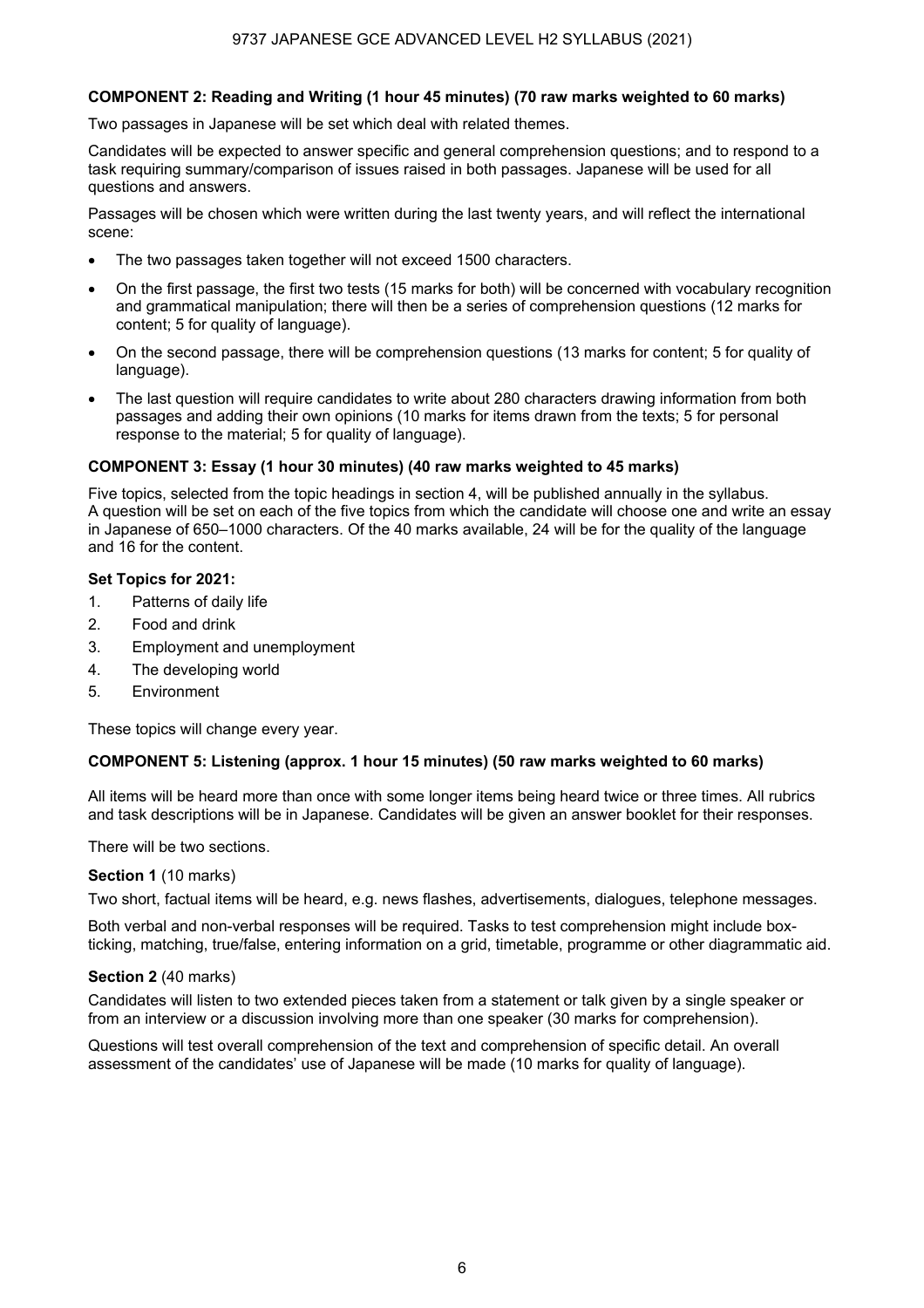## **COMPONENT 2: Reading and Writing (1 hour 45 minutes) (70 raw marks weighted to 60 marks)**

Two passages in Japanese will be set which deal with related themes.

Candidates will be expected to answer specific and general comprehension questions; and to respond to a task requiring summary/comparison of issues raised in both passages. Japanese will be used for all questions and answers.

Passages will be chosen which were written during the last twenty years, and will reflect the international scene:

- The two passages taken together will not exceed 1500 characters.
- On the first passage, the first two tests (15 marks for both) will be concerned with vocabulary recognition and grammatical manipulation; there will then be a series of comprehension questions (12 marks for content; 5 for quality of language).
- On the second passage, there will be comprehension questions (13 marks for content; 5 for quality of language).
- The last question will require candidates to write about 280 characters drawing information from both passages and adding their own opinions (10 marks for items drawn from the texts; 5 for personal response to the material; 5 for quality of language).

## **COMPONENT 3: Essay (1 hour 30 minutes) (40 raw marks weighted to 45 marks)**

Five topics, selected from the topic headings in section 4, will be published annually in the syllabus. A question will be set on each of the five topics from which the candidate will choose one and write an essay in Japanese of 650–1000 characters. Of the 40 marks available, 24 will be for the quality of the language and 16 for the content.

## **Set Topics for 2021:**

- 1. Patterns of daily life
- 2. Food and drink
- 3. Employment and unemployment
- 4. The developing world
- 5. Environment

These topics will change every year.

## **COMPONENT 5: Listening (approx. 1 hour 15 minutes) (50 raw marks weighted to 60 marks)**

All items will be heard more than once with some longer items being heard twice or three times. All rubrics and task descriptions will be in Japanese. Candidates will be given an answer booklet for their responses.

There will be two sections.

#### **Section 1** (10 marks)

Two short, factual items will be heard, e.g. news flashes, advertisements, dialogues, telephone messages.

Both verbal and non-verbal responses will be required. Tasks to test comprehension might include boxticking, matching, true/false, entering information on a grid, timetable, programme or other diagrammatic aid.

#### **Section 2** (40 marks)

Candidates will listen to two extended pieces taken from a statement or talk given by a single speaker or from an interview or a discussion involving more than one speaker (30 marks for comprehension).

Questions will test overall comprehension of the text and comprehension of specific detail. An overall assessment of the candidates' use of Japanese will be made (10 marks for quality of language).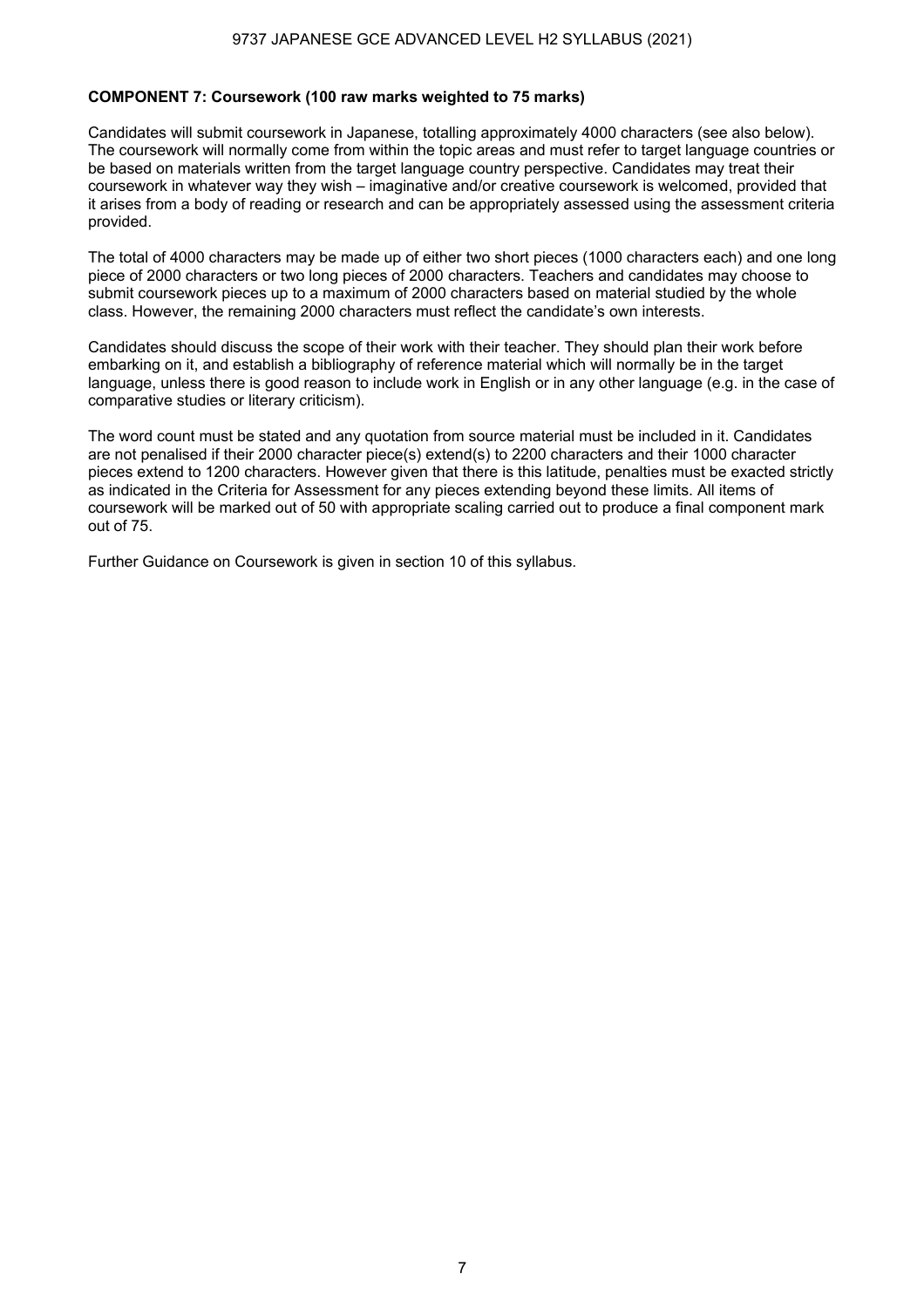### **COMPONENT 7: Coursework (100 raw marks weighted to 75 marks)**

Candidates will submit coursework in Japanese, totalling approximately 4000 characters (see also below). The coursework will normally come from within the topic areas and must refer to target language countries or be based on materials written from the target language country perspective. Candidates may treat their coursework in whatever way they wish – imaginative and/or creative coursework is welcomed, provided that it arises from a body of reading or research and can be appropriately assessed using the assessment criteria provided.

The total of 4000 characters may be made up of either two short pieces (1000 characters each) and one long piece of 2000 characters or two long pieces of 2000 characters. Teachers and candidates may choose to submit coursework pieces up to a maximum of 2000 characters based on material studied by the whole class. However, the remaining 2000 characters must reflect the candidate's own interests.

Candidates should discuss the scope of their work with their teacher. They should plan their work before embarking on it, and establish a bibliography of reference material which will normally be in the target language, unless there is good reason to include work in English or in any other language (e.g. in the case of comparative studies or literary criticism).

The word count must be stated and any quotation from source material must be included in it. Candidates are not penalised if their 2000 character piece(s) extend(s) to 2200 characters and their 1000 character pieces extend to 1200 characters. However given that there is this latitude, penalties must be exacted strictly as indicated in the Criteria for Assessment for any pieces extending beyond these limits. All items of coursework will be marked out of 50 with appropriate scaling carried out to produce a final component mark out of 75.

Further Guidance on Coursework is given in section 10 of this syllabus.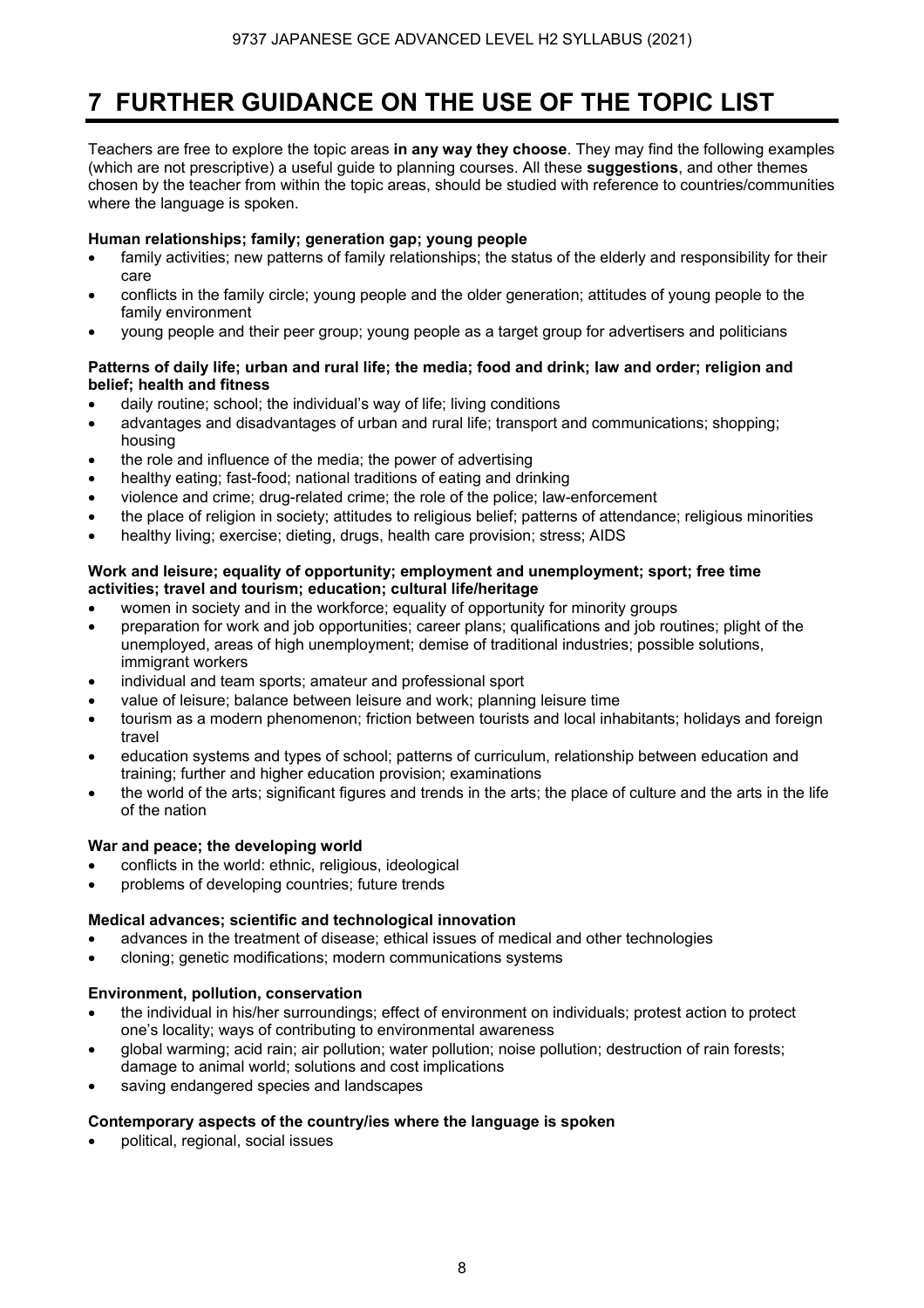## **7 FURTHER GUIDANCE ON THE USE OF THE TOPIC LIST**

Teachers are free to explore the topic areas **in any way they choose**. They may find the following examples (which are not prescriptive) a useful guide to planning courses. All these **suggestions**, and other themes chosen by the teacher from within the topic areas, should be studied with reference to countries/communities where the language is spoken.

## **Human relationships; family; generation gap; young people**

- family activities; new patterns of family relationships; the status of the elderly and responsibility for their care
- conflicts in the family circle; young people and the older generation; attitudes of young people to the family environment
- young people and their peer group; young people as a target group for advertisers and politicians

## **Patterns of daily life; urban and rural life; the media; food and drink; law and order; religion and belief; health and fitness**

- daily routine; school; the individual's way of life; living conditions
- advantages and disadvantages of urban and rural life; transport and communications; shopping; housing
- the role and influence of the media; the power of advertising
- healthy eating; fast-food; national traditions of eating and drinking
- violence and crime; drug-related crime; the role of the police; law-enforcement
- the place of religion in society; attitudes to religious belief; patterns of attendance; religious minorities
- healthy living; exercise; dieting, drugs, health care provision; stress; AIDS

### **Work and leisure; equality of opportunity; employment and unemployment; sport; free time activities; travel and tourism; education; cultural life/heritage**

- women in society and in the workforce; equality of opportunity for minority groups
- preparation for work and job opportunities; career plans; qualifications and job routines; plight of the unemployed, areas of high unemployment; demise of traditional industries; possible solutions, immigrant workers
- individual and team sports; amateur and professional sport
- value of leisure; balance between leisure and work; planning leisure time
- tourism as a modern phenomenon; friction between tourists and local inhabitants; holidays and foreign travel
- education systems and types of school; patterns of curriculum, relationship between education and training; further and higher education provision; examinations
- the world of the arts; significant figures and trends in the arts; the place of culture and the arts in the life of the nation

## **War and peace; the developing world**

- conflicts in the world: ethnic, religious, ideological
- problems of developing countries; future trends

## **Medical advances; scientific and technological innovation**

- advances in the treatment of disease; ethical issues of medical and other technologies
- cloning; genetic modifications; modern communications systems

## **Environment, pollution, conservation**

- the individual in his/her surroundings; effect of environment on individuals; protest action to protect one's locality; ways of contributing to environmental awareness
- global warming; acid rain; air pollution; water pollution; noise pollution; destruction of rain forests; damage to animal world; solutions and cost implications
- saving endangered species and landscapes

## **Contemporary aspects of the country/ies where the language is spoken**

• political, regional, social issues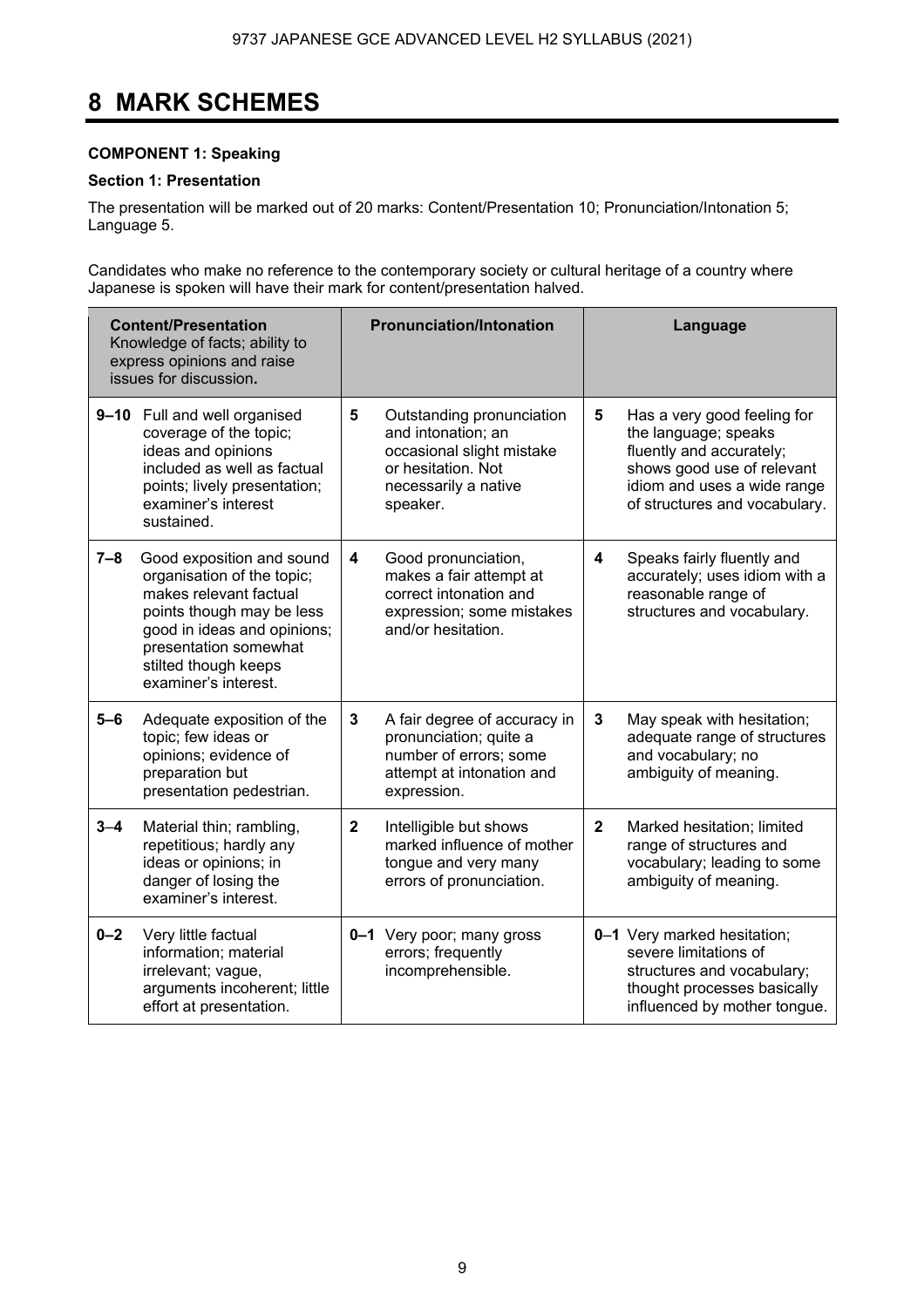## **8 MARK SCHEMES**

## **COMPONENT 1: Speaking**

## **Section 1: Presentation**

The presentation will be marked out of 20 marks: Content/Presentation 10; Pronunciation/Intonation 5; Language 5.

Candidates who make no reference to the contemporary society or cultural heritage of a country where Japanese is spoken will have their mark for content/presentation halved.

|         | <b>Content/Presentation</b><br>Knowledge of facts; ability to<br>express opinions and raise<br>issues for discussion.                                                                                                  |                | <b>Pronunciation/Intonation</b>                                                                                                        |                         | Language                                                                                                                                                                      |
|---------|------------------------------------------------------------------------------------------------------------------------------------------------------------------------------------------------------------------------|----------------|----------------------------------------------------------------------------------------------------------------------------------------|-------------------------|-------------------------------------------------------------------------------------------------------------------------------------------------------------------------------|
|         | 9-10 Full and well organised<br>coverage of the topic;<br>ideas and opinions<br>included as well as factual<br>points; lively presentation;<br>examiner's interest<br>sustained.                                       | $5\phantom{1}$ | Outstanding pronunciation<br>and intonation; an<br>occasional slight mistake<br>or hesitation. Not<br>necessarily a native<br>speaker. | 5                       | Has a very good feeling for<br>the language; speaks<br>fluently and accurately;<br>shows good use of relevant<br>idiom and uses a wide range<br>of structures and vocabulary. |
| $7 - 8$ | Good exposition and sound<br>organisation of the topic;<br>makes relevant factual<br>points though may be less<br>good in ideas and opinions;<br>presentation somewhat<br>stilted though keeps<br>examiner's interest. | 4              | Good pronunciation,<br>makes a fair attempt at<br>correct intonation and<br>expression; some mistakes<br>and/or hesitation.            | $\overline{\mathbf{4}}$ | Speaks fairly fluently and<br>accurately; uses idiom with a<br>reasonable range of<br>structures and vocabulary.                                                              |
| $5-6$   | Adequate exposition of the<br>topic; few ideas or<br>opinions; evidence of<br>preparation but<br>presentation pedestrian.                                                                                              | 3              | A fair degree of accuracy in<br>pronunciation; quite a<br>number of errors; some<br>attempt at intonation and<br>expression.           | 3                       | May speak with hesitation;<br>adequate range of structures<br>and vocabulary; no<br>ambiguity of meaning.                                                                     |
| $3 - 4$ | Material thin; rambling,<br>repetitious; hardly any<br>ideas or opinions; in<br>danger of losing the<br>examiner's interest.                                                                                           | $\mathbf{2}$   | Intelligible but shows<br>marked influence of mother<br>tongue and very many<br>errors of pronunciation.                               | $\mathbf{2}$            | Marked hesitation; limited<br>range of structures and<br>vocabulary; leading to some<br>ambiguity of meaning.                                                                 |
| $0 - 2$ | Very little factual<br>information; material<br>irrelevant; vague,<br>arguments incoherent; little<br>effort at presentation.                                                                                          |                | 0-1 Very poor; many gross<br>errors; frequently<br>incomprehensible.                                                                   |                         | 0-1 Very marked hesitation;<br>severe limitations of<br>structures and vocabulary;<br>thought processes basically<br>influenced by mother tongue.                             |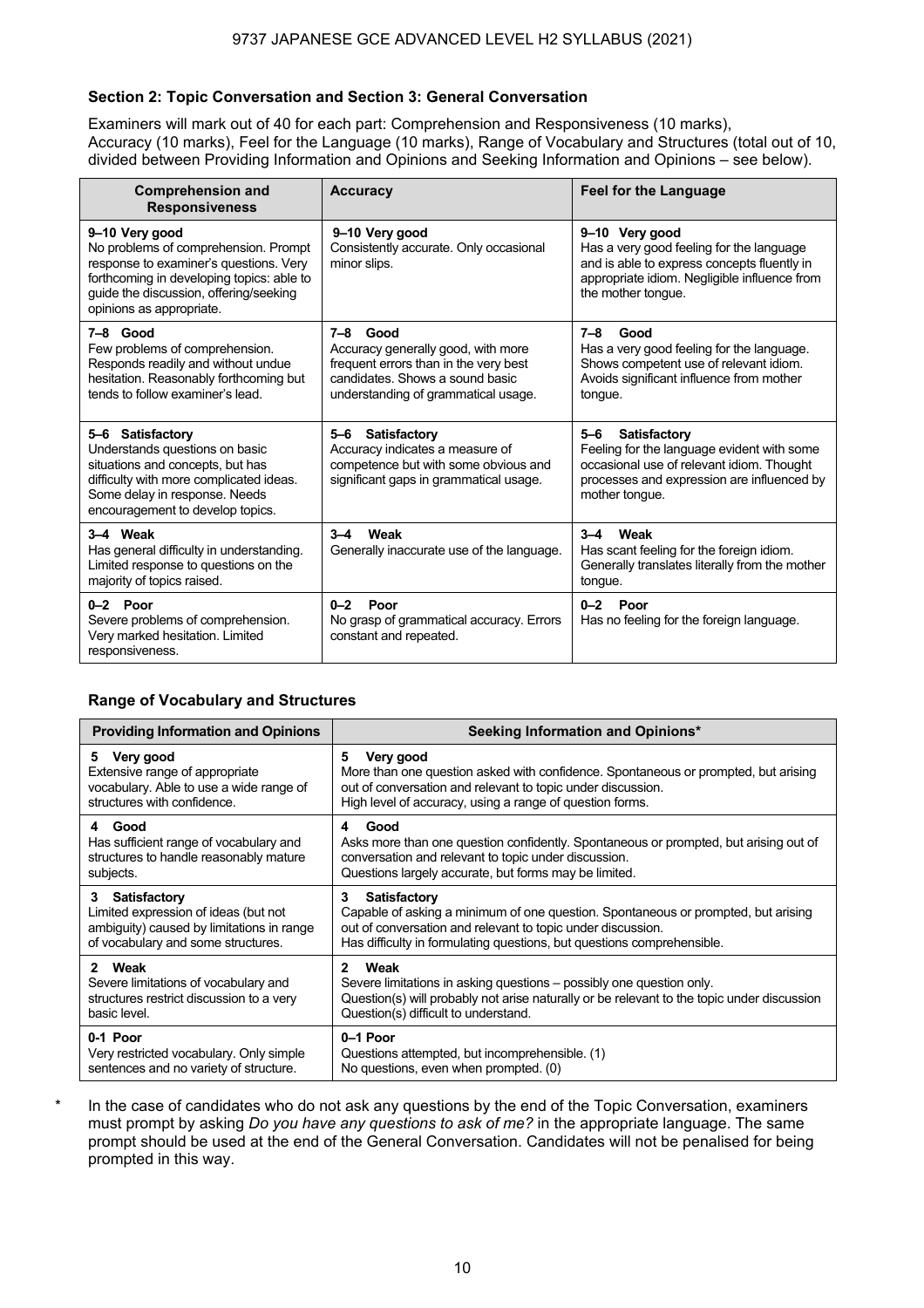## **Section 2: Topic Conversation and Section 3: General Conversation**

Examiners will mark out of 40 for each part: Comprehension and Responsiveness (10 marks), Accuracy (10 marks), Feel for the Language (10 marks), Range of Vocabulary and Structures (total out of 10, divided between Providing Information and Opinions and Seeking Information and Opinions – see below).

| <b>Comprehension and</b><br><b>Responsiveness</b>                                                                                                                                                                   | <b>Accuracy</b>                                                                                                                                                   | <b>Feel for the Language</b>                                                                                                                                                       |
|---------------------------------------------------------------------------------------------------------------------------------------------------------------------------------------------------------------------|-------------------------------------------------------------------------------------------------------------------------------------------------------------------|------------------------------------------------------------------------------------------------------------------------------------------------------------------------------------|
| 9-10 Very good<br>No problems of comprehension. Prompt<br>response to examiner's questions. Very<br>forthcoming in developing topics: able to<br>guide the discussion, offering/seeking<br>opinions as appropriate. | 9-10 Very good<br>Consistently accurate. Only occasional<br>minor slips.                                                                                          | 9-10 Very good<br>Has a very good feeling for the language<br>and is able to express concepts fluently in<br>appropriate idiom. Negligible influence from<br>the mother tonque.    |
| 7-8 Good<br>Few problems of comprehension.<br>Responds readily and without undue<br>hesitation. Reasonably forthcoming but<br>tends to follow examiner's lead.                                                      | 7-8 Good<br>Accuracy generally good, with more<br>frequent errors than in the very best<br>candidates. Shows a sound basic<br>understanding of grammatical usage. | Good<br>$7 - 8$<br>Has a very good feeling for the language.<br>Shows competent use of relevant idiom.<br>Avoids significant influence from mother<br>tongue.                      |
| 5-6 Satisfactory<br>Understands questions on basic<br>situations and concepts, but has<br>difficulty with more complicated ideas.<br>Some delay in response. Needs<br>encouragement to develop topics.              | 5-6 Satisfactory<br>Accuracy indicates a measure of<br>competence but with some obvious and<br>significant gaps in grammatical usage.                             | Satisfactory<br>$5 - 6$<br>Feeling for the language evident with some<br>occasional use of relevant idiom. Thought<br>processes and expression are influenced by<br>mother tonque. |
| 3-4 Weak<br>Has general difficulty in understanding.<br>Limited response to questions on the<br>majority of topics raised.                                                                                          | $3 - 4$<br>Weak<br>Generally inaccurate use of the language.                                                                                                      | Weak<br>$3 - 4$<br>Has scant feeling for the foreign idiom.<br>Generally translates literally from the mother<br>tongue.                                                           |
| $0-2$ Poor<br>Severe problems of comprehension.<br>Very marked hesitation. Limited<br>responsiveness.                                                                                                               | $0 - 2$<br>Poor<br>No grasp of grammatical accuracy. Errors<br>constant and repeated.                                                                             | $0 - 2$<br>Poor<br>Has no feeling for the foreign language.                                                                                                                        |

## **Range of Vocabulary and Structures**

| <b>Providing Information and Opinions</b>                                                                                                 | Seeking Information and Opinions*                                                                                                                                                                                                               |
|-------------------------------------------------------------------------------------------------------------------------------------------|-------------------------------------------------------------------------------------------------------------------------------------------------------------------------------------------------------------------------------------------------|
| Very good<br>5.<br>Extensive range of appropriate<br>vocabulary. Able to use a wide range of<br>structures with confidence.               | Very good<br>5<br>More than one question asked with confidence. Spontaneous or prompted, but arising<br>out of conversation and relevant to topic under discussion.<br>High level of accuracy, using a range of question forms.                 |
| 4 Good<br>Has sufficient range of vocabulary and<br>structures to handle reasonably mature<br>subjects.                                   | Good<br>4<br>Asks more than one question confidently. Spontaneous or prompted, but arising out of<br>conversation and relevant to topic under discussion.<br>Questions largely accurate, but forms may be limited.                              |
| 3 Satisfactory<br>Limited expression of ideas (but not<br>ambiguity) caused by limitations in range<br>of vocabulary and some structures. | Satisfactory<br>3<br>Capable of asking a minimum of one question. Spontaneous or prompted, but arising<br>out of conversation and relevant to topic under discussion.<br>Has difficulty in formulating questions, but questions comprehensible. |
| 2 Weak<br>Severe limitations of vocabulary and<br>structures restrict discussion to a very<br>basic level.                                | Weak<br>$\overline{2}$<br>Severe limitations in asking questions – possibly one question only.<br>Question(s) will probably not arise naturally or be relevant to the topic under discussion<br>Question(s) difficult to understand.            |
| 0-1 Poor<br>Very restricted vocabulary. Only simple<br>sentences and no variety of structure.                                             | 0-1 Poor<br>Questions attempted, but incomprehensible. (1)<br>No questions, even when prompted. (0)                                                                                                                                             |

\* In the case of candidates who do not ask any questions by the end of the Topic Conversation, examiners must prompt by asking *Do you have any questions to ask of me?* in the appropriate language. The same prompt should be used at the end of the General Conversation. Candidates will not be penalised for being prompted in this way.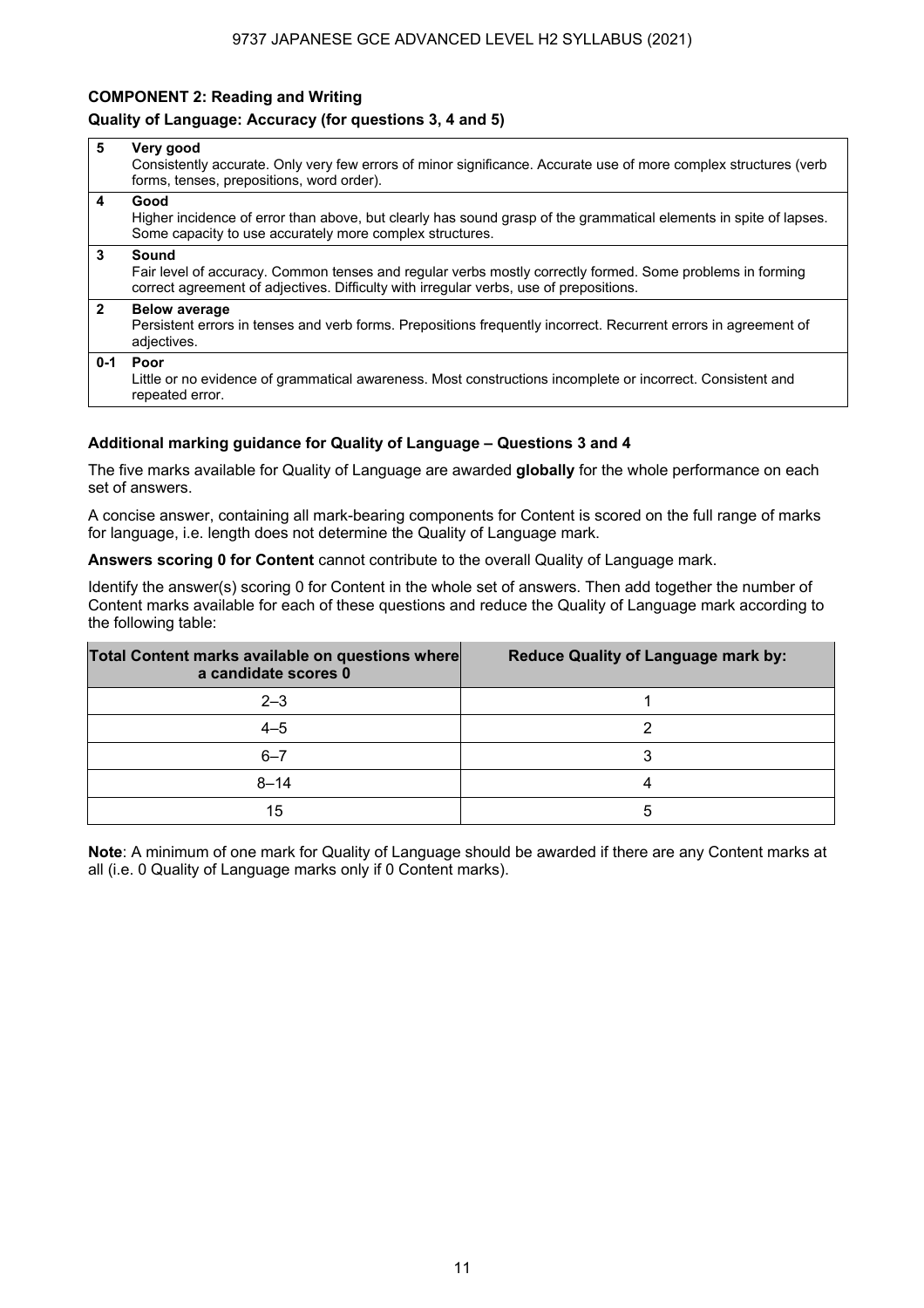## **COMPONENT 2: Reading and Writing**

### **Quality of Language: Accuracy (for questions 3, 4 and 5)**

| 5              | Very good<br>Consistently accurate. Only very few errors of minor significance. Accurate use of more complex structures (verb<br>forms, tenses, prepositions, word order).                                   |
|----------------|--------------------------------------------------------------------------------------------------------------------------------------------------------------------------------------------------------------|
| 4              | Good<br>Higher incidence of error than above, but clearly has sound grasp of the grammatical elements in spite of lapses.<br>Some capacity to use accurately more complex structures.                        |
| 3              | Sound<br>Fair level of accuracy. Common tenses and regular verbs mostly correctly formed. Some problems in forming<br>correct agreement of adjectives. Difficulty with irregular verbs, use of prepositions. |
| $\overline{2}$ | <b>Below average</b><br>Persistent errors in tenses and verb forms. Prepositions frequently incorrect. Recurrent errors in agreement of<br>adjectives.                                                       |
|                | 0-1 Poor<br>Little or no evidence of grammatical awareness. Most constructions incomplete or incorrect. Consistent and<br>repeated error.                                                                    |

## **Additional marking guidance for Quality of Language – Questions 3 and 4**

The five marks available for Quality of Language are awarded **globally** for the whole performance on each set of answers.

A concise answer, containing all mark-bearing components for Content is scored on the full range of marks for language, i.e. length does not determine the Quality of Language mark.

**Answers scoring 0 for Content** cannot contribute to the overall Quality of Language mark.

Identify the answer(s) scoring 0 for Content in the whole set of answers. Then add together the number of Content marks available for each of these questions and reduce the Quality of Language mark according to the following table:

| Total Content marks available on questions where<br>a candidate scores 0 | <b>Reduce Quality of Language mark by:</b> |
|--------------------------------------------------------------------------|--------------------------------------------|
| $2 - 3$                                                                  |                                            |
| $4 - 5$                                                                  |                                            |
| $6 - 7$                                                                  |                                            |
| $8 - 14$                                                                 |                                            |
| 15                                                                       | 5                                          |

**Note**: A minimum of one mark for Quality of Language should be awarded if there are any Content marks at all (i.e. 0 Quality of Language marks only if 0 Content marks).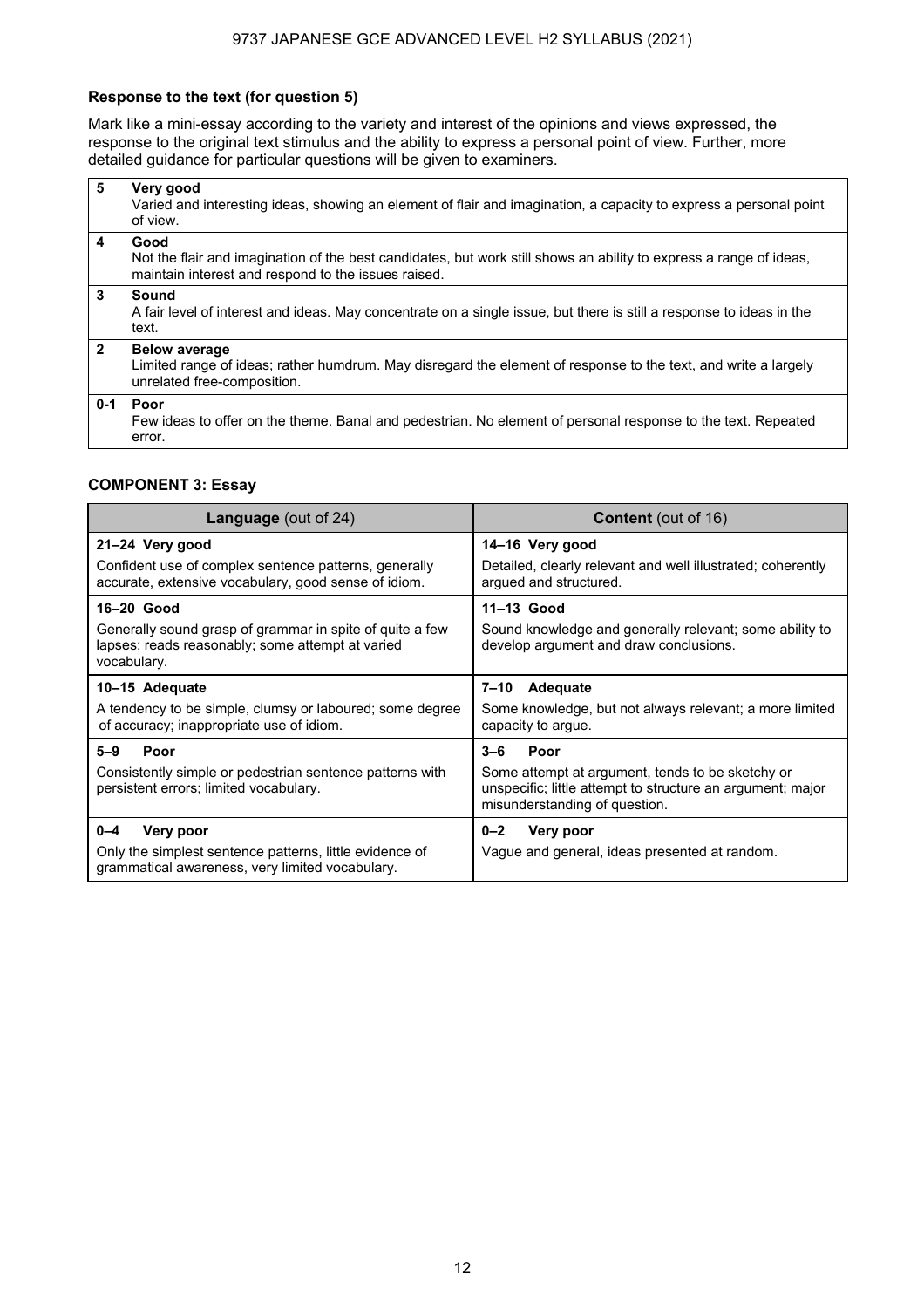## **Response to the text (for question 5)**

Mark like a mini-essay according to the variety and interest of the opinions and views expressed, the response to the original text stimulus and the ability to express a personal point of view. Further, more detailed guidance for particular questions will be given to examiners.

| 5            | Very good<br>Varied and interesting ideas, showing an element of flair and imagination, a capacity to express a personal point<br>of view.                                        |
|--------------|-----------------------------------------------------------------------------------------------------------------------------------------------------------------------------------|
| 4            | Good<br>Not the flair and imagination of the best candidates, but work still shows an ability to express a range of ideas,<br>maintain interest and respond to the issues raised. |
| 3            | Sound<br>A fair level of interest and ideas. May concentrate on a single issue, but there is still a response to ideas in the<br>text.                                            |
| $\mathbf{2}$ | <b>Below average</b><br>Limited range of ideas; rather humdrum. May disregard the element of response to the text, and write a largely<br>unrelated free-composition.             |
| $0 - 1$      | Poor<br>Few ideas to offer on the theme. Banal and pedestrian. No element of personal response to the text. Repeated<br>error.                                                    |

### **COMPONENT 3: Essay**

| <b>Language</b> (out of 24)                                                                                                               | <b>Content</b> (out of 16)                                                                                                                                         |
|-------------------------------------------------------------------------------------------------------------------------------------------|--------------------------------------------------------------------------------------------------------------------------------------------------------------------|
| 21-24 Very good<br>Confident use of complex sentence patterns, generally<br>accurate, extensive vocabulary, good sense of idiom.          | 14-16 Very good<br>Detailed, clearly relevant and well illustrated; coherently<br>argued and structured.                                                           |
| 16-20 Good<br>Generally sound grasp of grammar in spite of quite a few<br>lapses; reads reasonably; some attempt at varied<br>vocabulary. | 11-13 Good<br>Sound knowledge and generally relevant; some ability to<br>develop argument and draw conclusions.                                                    |
| 10-15 Adequate<br>A tendency to be simple, clumsy or laboured; some degree<br>of accuracy; inappropriate use of idiom.                    | Adequate<br>7–10<br>Some knowledge, but not always relevant; a more limited<br>capacity to argue.                                                                  |
| $5 - 9$<br>Poor<br>Consistently simple or pedestrian sentence patterns with<br>persistent errors; limited vocabulary.                     | $3 - 6$<br>Poor<br>Some attempt at argument, tends to be sketchy or<br>unspecific; little attempt to structure an argument; major<br>misunderstanding of question. |
| $0 - 4$<br>Very poor<br>Only the simplest sentence patterns, little evidence of<br>grammatical awareness, very limited vocabulary.        | $0 - 2$<br>Very poor<br>Vague and general, ideas presented at random.                                                                                              |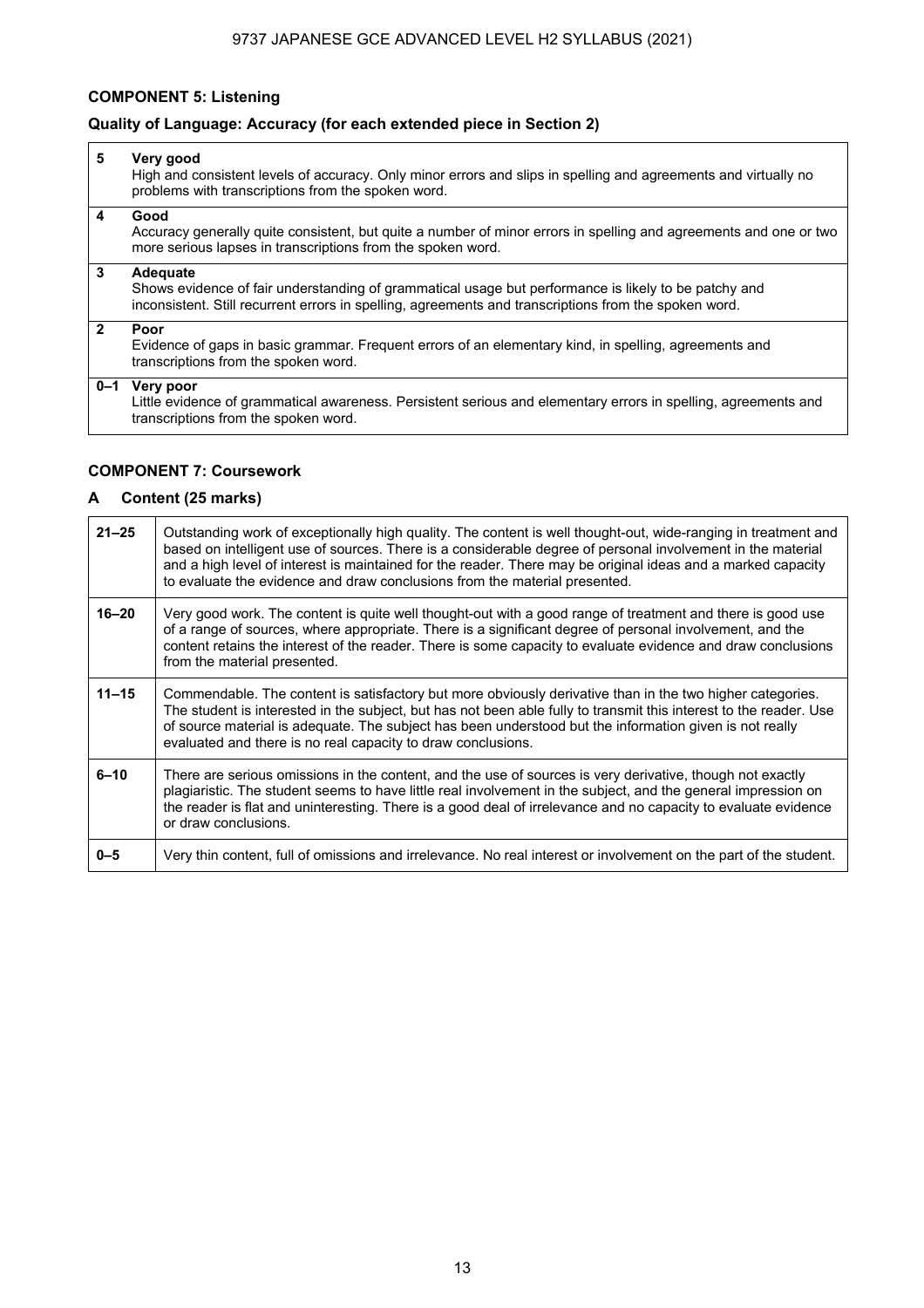## **COMPONENT 5: Listening**

## **Quality of Language: Accuracy (for each extended piece in Section 2)**

| 5              | Very good<br>High and consistent levels of accuracy. Only minor errors and slips in spelling and agreements and virtually no<br>problems with transcriptions from the spoken word.                                        |
|----------------|---------------------------------------------------------------------------------------------------------------------------------------------------------------------------------------------------------------------------|
| 4              | Good<br>Accuracy generally quite consistent, but quite a number of minor errors in spelling and agreements and one or two<br>more serious lapses in transcriptions from the spoken word.                                  |
| 3              | Adequate<br>Shows evidence of fair understanding of grammatical usage but performance is likely to be patchy and<br>inconsistent. Still recurrent errors in spelling, agreements and transcriptions from the spoken word. |
| $\overline{2}$ | Poor<br>Evidence of gaps in basic grammar. Frequent errors of an elementary kind, in spelling, agreements and<br>transcriptions from the spoken word.                                                                     |
| $0 - 1$        | Very poor<br>Little evidence of grammatical awareness. Persistent serious and elementary errors in spelling, agreements and<br>transcriptions from the spoken word.                                                       |

## **COMPONENT 7: Coursework**

## **A Content (25 marks)**

| $21 - 25$ | Outstanding work of exceptionally high guality. The content is well thought-out, wide-ranging in treatment and<br>based on intelligent use of sources. There is a considerable degree of personal involvement in the material<br>and a high level of interest is maintained for the reader. There may be original ideas and a marked capacity<br>to evaluate the evidence and draw conclusions from the material presented. |
|-----------|-----------------------------------------------------------------------------------------------------------------------------------------------------------------------------------------------------------------------------------------------------------------------------------------------------------------------------------------------------------------------------------------------------------------------------|
| $16 - 20$ | Very good work. The content is quite well thought-out with a good range of treatment and there is good use<br>of a range of sources, where appropriate. There is a significant degree of personal involvement, and the<br>content retains the interest of the reader. There is some capacity to evaluate evidence and draw conclusions<br>from the material presented.                                                      |
| $11 - 15$ | Commendable. The content is satisfactory but more obviously derivative than in the two higher categories.<br>The student is interested in the subject, but has not been able fully to transmit this interest to the reader. Use<br>of source material is adequate. The subject has been understood but the information given is not really<br>evaluated and there is no real capacity to draw conclusions.                  |
| $6 - 10$  | There are serious omissions in the content, and the use of sources is very derivative, though not exactly<br>plagiaristic. The student seems to have little real involvement in the subject, and the general impression on<br>the reader is flat and uninteresting. There is a good deal of irrelevance and no capacity to evaluate evidence<br>or draw conclusions.                                                        |
| $0 - 5$   | Very thin content, full of omissions and irrelevance. No real interest or involvement on the part of the student.                                                                                                                                                                                                                                                                                                           |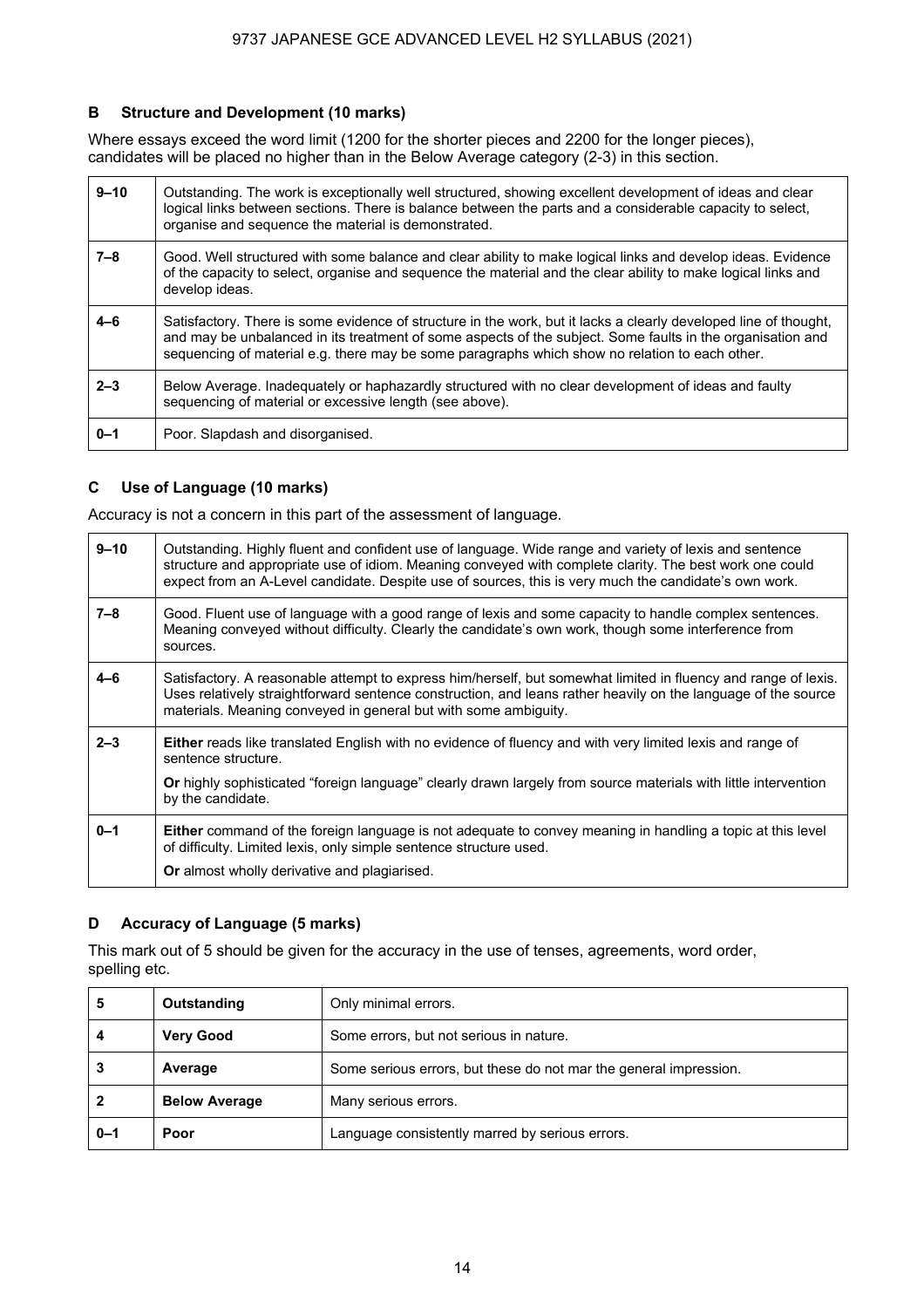## **B Structure and Development (10 marks)**

Where essays exceed the word limit (1200 for the shorter pieces and 2200 for the longer pieces), candidates will be placed no higher than in the Below Average category (2-3) in this section.

| $9 - 10$ | Outstanding. The work is exceptionally well structured, showing excellent development of ideas and clear<br>logical links between sections. There is balance between the parts and a considerable capacity to select,<br>organise and sequence the material is demonstrated.                                                     |
|----------|----------------------------------------------------------------------------------------------------------------------------------------------------------------------------------------------------------------------------------------------------------------------------------------------------------------------------------|
| $7 - 8$  | Good. Well structured with some balance and clear ability to make logical links and develop ideas. Evidence<br>of the capacity to select, organise and sequence the material and the clear ability to make logical links and<br>develop ideas.                                                                                   |
| $4 - 6$  | Satisfactory. There is some evidence of structure in the work, but it lacks a clearly developed line of thought,<br>and may be unbalanced in its treatment of some aspects of the subject. Some faults in the organisation and<br>sequencing of material e.g. there may be some paragraphs which show no relation to each other. |
| $2 - 3$  | Below Average. Inadeguately or haphazardly structured with no clear development of ideas and faulty<br>sequencing of material or excessive length (see above).                                                                                                                                                                   |
| $0 - 1$  | Poor. Slapdash and disorganised.                                                                                                                                                                                                                                                                                                 |

## **C Use of Language (10 marks)**

Accuracy is not a concern in this part of the assessment of language.

| $9 - 10$ | Outstanding. Highly fluent and confident use of language. Wide range and variety of lexis and sentence<br>structure and appropriate use of idiom. Meaning conveyed with complete clarity. The best work one could<br>expect from an A-Level candidate. Despite use of sources, this is very much the candidate's own work. |
|----------|----------------------------------------------------------------------------------------------------------------------------------------------------------------------------------------------------------------------------------------------------------------------------------------------------------------------------|
| $7 - 8$  | Good. Fluent use of language with a good range of lexis and some capacity to handle complex sentences.<br>Meaning conveyed without difficulty. Clearly the candidate's own work, though some interference from<br>sources.                                                                                                 |
| $4 - 6$  | Satisfactory. A reasonable attempt to express him/herself, but somewhat limited in fluency and range of lexis.<br>Uses relatively straightforward sentence construction, and leans rather heavily on the language of the source<br>materials. Meaning conveyed in general but with some ambiguity.                         |
| $2 - 3$  | <b>Either</b> reads like translated English with no evidence of fluency and with very limited lexis and range of<br>sentence structure.<br>Or highly sophisticated "foreign language" clearly drawn largely from source materials with little intervention<br>by the candidate.                                            |
| $0 - 1$  | <b>Either</b> command of the foreign language is not adequate to convey meaning in handling a topic at this level<br>of difficulty. Limited lexis, only simple sentence structure used.<br><b>Or</b> almost wholly derivative and plagiarised.                                                                             |

## **D Accuracy of Language (5 marks)**

This mark out of 5 should be given for the accuracy in the use of tenses, agreements, word order, spelling etc.

| 5       | Outstanding          | Only minimal errors.                                              |
|---------|----------------------|-------------------------------------------------------------------|
| 4       | <b>Very Good</b>     | Some errors, but not serious in nature.                           |
|         | Average              | Some serious errors, but these do not mar the general impression. |
|         | <b>Below Average</b> | Many serious errors.                                              |
| $0 - 1$ | Poor                 | Language consistently marred by serious errors.                   |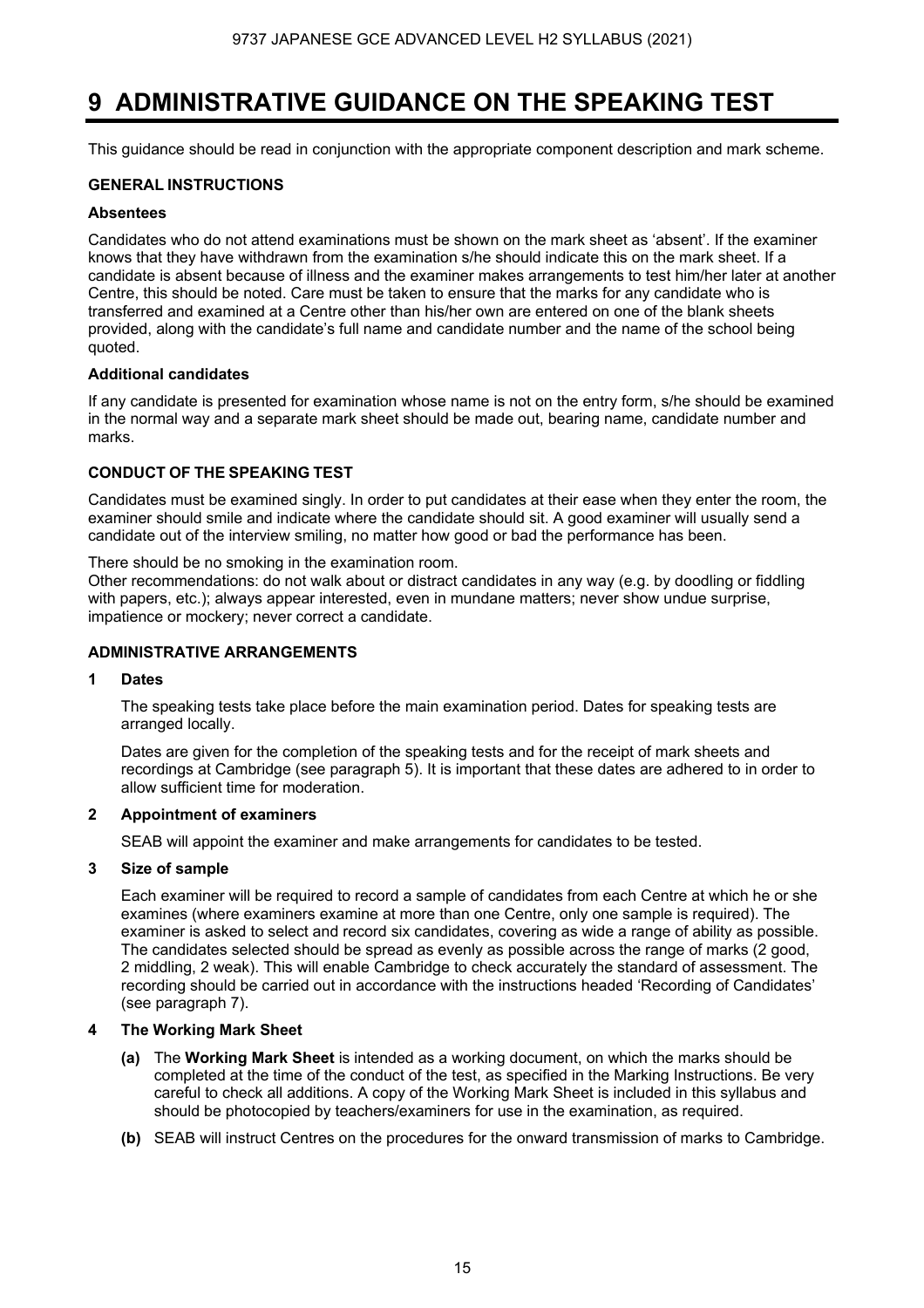## **9 ADMINISTRATIVE GUIDANCE ON THE SPEAKING TEST**

This guidance should be read in conjunction with the appropriate component description and mark scheme.

### **GENERAL INSTRUCTIONS**

#### **Absentees**

Candidates who do not attend examinations must be shown on the mark sheet as 'absent'. If the examiner knows that they have withdrawn from the examination s/he should indicate this on the mark sheet. If a candidate is absent because of illness and the examiner makes arrangements to test him/her later at another Centre, this should be noted. Care must be taken to ensure that the marks for any candidate who is transferred and examined at a Centre other than his/her own are entered on one of the blank sheets provided, along with the candidate's full name and candidate number and the name of the school being quoted.

### **Additional candidates**

If any candidate is presented for examination whose name is not on the entry form, s/he should be examined in the normal way and a separate mark sheet should be made out, bearing name, candidate number and marks.

## **CONDUCT OF THE SPEAKING TEST**

Candidates must be examined singly. In order to put candidates at their ease when they enter the room, the examiner should smile and indicate where the candidate should sit. A good examiner will usually send a candidate out of the interview smiling, no matter how good or bad the performance has been.

There should be no smoking in the examination room.

Other recommendations: do not walk about or distract candidates in any way (e.g. by doodling or fiddling with papers, etc.); always appear interested, even in mundane matters; never show undue surprise, impatience or mockery; never correct a candidate.

## **ADMINISTRATIVE ARRANGEMENTS**

## **1 Dates**

 The speaking tests take place before the main examination period. Dates for speaking tests are arranged locally.

 Dates are given for the completion of the speaking tests and for the receipt of mark sheets and recordings at Cambridge (see paragraph 5). It is important that these dates are adhered to in order to allow sufficient time for moderation.

## **2 Appointment of examiners**

SEAB will appoint the examiner and make arrangements for candidates to be tested.

## **3 Size of sample**

 Each examiner will be required to record a sample of candidates from each Centre at which he or she examines (where examiners examine at more than one Centre, only one sample is required). The examiner is asked to select and record six candidates, covering as wide a range of ability as possible. The candidates selected should be spread as evenly as possible across the range of marks (2 good, 2 middling, 2 weak). This will enable Cambridge to check accurately the standard of assessment. The recording should be carried out in accordance with the instructions headed 'Recording of Candidates' (see paragraph 7).

## **4 The Working Mark Sheet**

- **(a)** The **Working Mark Sheet** is intended as a working document, on which the marks should be completed at the time of the conduct of the test, as specified in the Marking Instructions. Be very careful to check all additions. A copy of the Working Mark Sheet is included in this syllabus and should be photocopied by teachers/examiners for use in the examination, as required.
- **(b)** SEAB will instruct Centres on the procedures for the onward transmission of marks to Cambridge.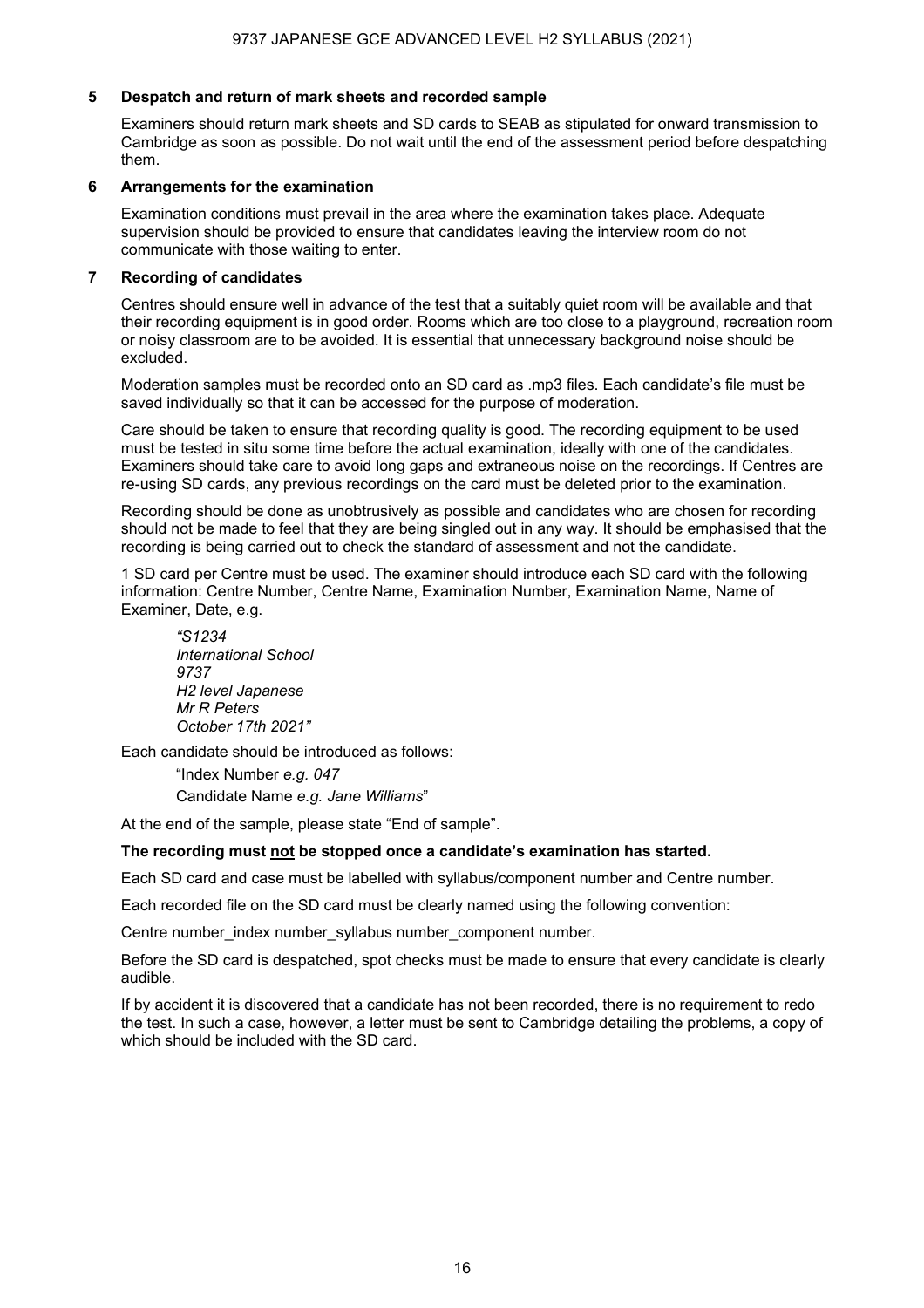### **5 Despatch and return of mark sheets and recorded sample**

Examiners should return mark sheets and SD cards to SEAB as stipulated for onward transmission to Cambridge as soon as possible. Do not wait until the end of the assessment period before despatching them.

### **6 Arrangements for the examination**

Examination conditions must prevail in the area where the examination takes place. Adequate supervision should be provided to ensure that candidates leaving the interview room do not communicate with those waiting to enter.

## **7 Recording of candidates**

Centres should ensure well in advance of the test that a suitably quiet room will be available and that their recording equipment is in good order. Rooms which are too close to a playground, recreation room or noisy classroom are to be avoided. It is essential that unnecessary background noise should be excluded.

Moderation samples must be recorded onto an SD card as .mp3 files. Each candidate's file must be saved individually so that it can be accessed for the purpose of moderation.

Care should be taken to ensure that recording quality is good. The recording equipment to be used must be tested in situ some time before the actual examination, ideally with one of the candidates. Examiners should take care to avoid long gaps and extraneous noise on the recordings. If Centres are re-using SD cards, any previous recordings on the card must be deleted prior to the examination.

Recording should be done as unobtrusively as possible and candidates who are chosen for recording should not be made to feel that they are being singled out in any way. It should be emphasised that the recording is being carried out to check the standard of assessment and not the candidate.

1 SD card per Centre must be used. The examiner should introduce each SD card with the following information: Centre Number, Centre Name, Examination Number, Examination Name, Name of Examiner, Date, e.g.

*"S1234 International School 9737 H2 level Japanese Mr R Peters October 17th 2021"*

Each candidate should be introduced as follows:

"Index Number *e.g. 047* Candidate Name *e.g. Jane Williams*"

At the end of the sample, please state "End of sample".

#### **The recording must not be stopped once a candidate's examination has started.**

Each SD card and case must be labelled with syllabus/component number and Centre number.

Each recorded file on the SD card must be clearly named using the following convention:

Centre number index number syllabus number component number.

Before the SD card is despatched, spot checks must be made to ensure that every candidate is clearly audible.

If by accident it is discovered that a candidate has not been recorded, there is no requirement to redo the test. In such a case, however, a letter must be sent to Cambridge detailing the problems, a copy of which should be included with the SD card.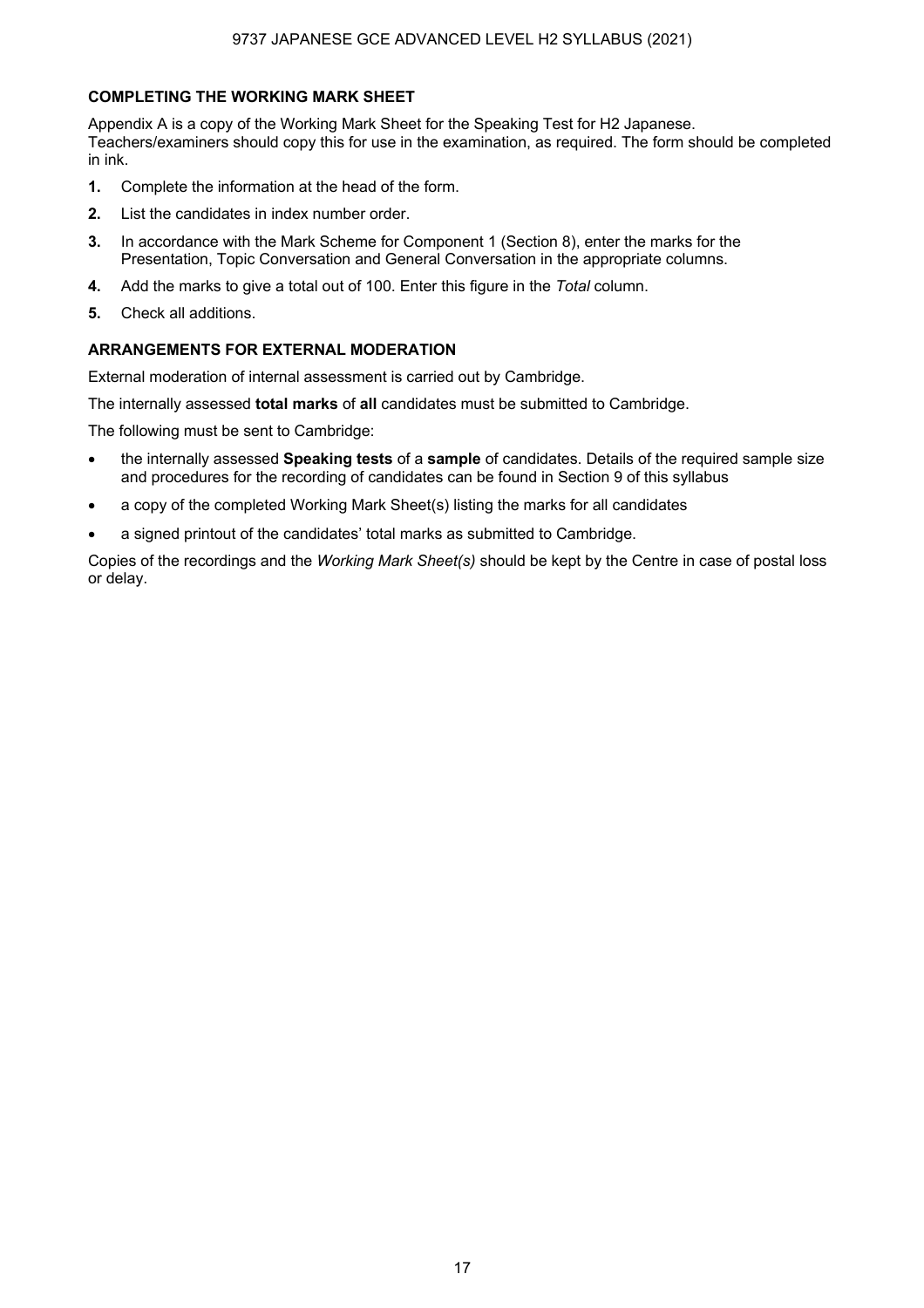## **COMPLETING THE WORKING MARK SHEET**

Appendix A is a copy of the Working Mark Sheet for the Speaking Test for H2 Japanese. Teachers/examiners should copy this for use in the examination, as required. The form should be completed in ink.

- **1.** Complete the information at the head of the form.
- **2.** List the candidates in index number order.
- **3.** In accordance with the Mark Scheme for Component 1 (Section 8), enter the marks for the Presentation, Topic Conversation and General Conversation in the appropriate columns.
- **4.** Add the marks to give a total out of 100. Enter this figure in the *Total* column.
- **5.** Check all additions.

## **ARRANGEMENTS FOR EXTERNAL MODERATION**

External moderation of internal assessment is carried out by Cambridge.

The internally assessed **total marks** of **all** candidates must be submitted to Cambridge.

The following must be sent to Cambridge:

- the internally assessed **Speaking tests** of a **sample** of candidates. Details of the required sample size and procedures for the recording of candidates can be found in Section 9 of this syllabus
- a copy of the completed Working Mark Sheet(s) listing the marks for all candidates
- a signed printout of the candidates' total marks as submitted to Cambridge.

Copies of the recordings and the *Working Mark Sheet(s)* should be kept by the Centre in case of postal loss or delay.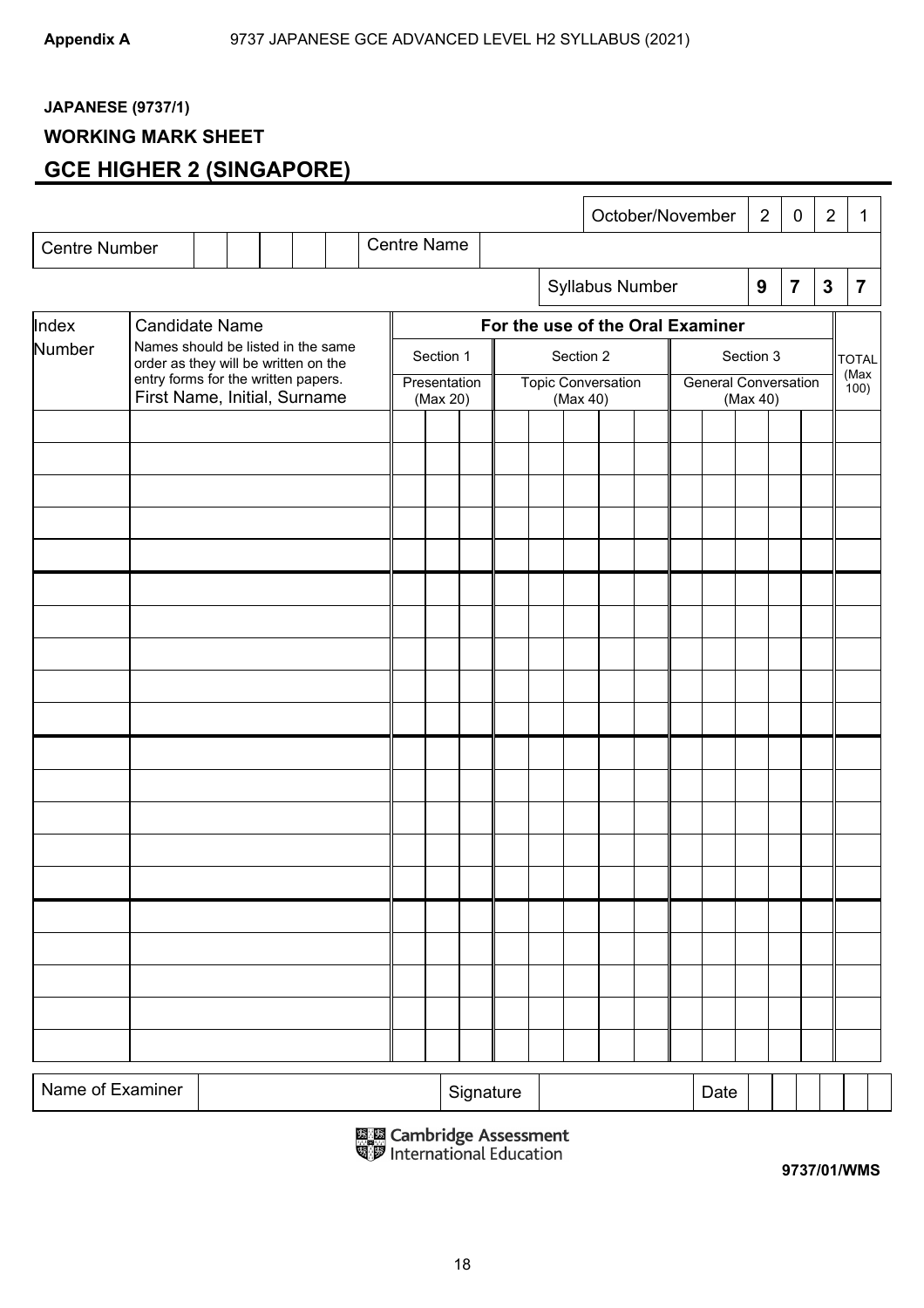## **JAPANESE (9737/1)**

## **WORKING MARK SHEET**

## **GCE HIGHER 2 (SINGAPORE)**

|                      |                                                                            |                       |  |                          |  |  |                    |                           |           |                                         |           | October/November                 |  |               |                  | $\overline{2}$ | 0              | $\overline{2}$ | 1              |
|----------------------|----------------------------------------------------------------------------|-----------------------|--|--------------------------|--|--|--------------------|---------------------------|-----------|-----------------------------------------|-----------|----------------------------------|--|---------------|------------------|----------------|----------------|----------------|----------------|
| <b>Centre Number</b> |                                                                            |                       |  |                          |  |  | <b>Centre Name</b> |                           |           |                                         |           |                                  |  |               |                  |                |                |                |                |
|                      |                                                                            |                       |  |                          |  |  |                    |                           |           |                                         |           | Syllabus Number                  |  |               | $\boldsymbol{9}$ |                | $\overline{7}$ | $\mathbf{3}$   | $\overline{7}$ |
| Index                |                                                                            | <b>Candidate Name</b> |  |                          |  |  |                    |                           |           |                                         |           | For the use of the Oral Examiner |  |               |                  |                |                |                |                |
| Number               | Names should be listed in the same<br>order as they will be written on the |                       |  |                          |  |  |                    | Section 1                 |           |                                         | Section 2 |                                  |  | Section 3     |                  |                |                |                | <b>TOTAL</b>   |
|                      | entry forms for the written papers.<br>First Name, Initial, Surname        |                       |  | Presentation<br>(Max 20) |  |  | (Max 40)           | <b>Topic Conversation</b> |           | <b>General Conversation</b><br>(Max 40) |           |                                  |  | (Max<br>(100) |                  |                |                |                |                |
|                      |                                                                            |                       |  |                          |  |  |                    |                           |           |                                         |           |                                  |  |               |                  |                |                |                |                |
|                      |                                                                            |                       |  |                          |  |  |                    |                           |           |                                         |           |                                  |  |               |                  |                |                |                |                |
|                      |                                                                            |                       |  |                          |  |  |                    |                           |           |                                         |           |                                  |  |               |                  |                |                |                |                |
|                      |                                                                            |                       |  |                          |  |  |                    |                           |           |                                         |           |                                  |  |               |                  |                |                |                |                |
|                      |                                                                            |                       |  |                          |  |  |                    |                           |           |                                         |           |                                  |  |               |                  |                |                |                |                |
|                      |                                                                            |                       |  |                          |  |  |                    |                           |           |                                         |           |                                  |  |               |                  |                |                |                |                |
|                      |                                                                            |                       |  |                          |  |  |                    |                           |           |                                         |           |                                  |  |               |                  |                |                |                |                |
|                      |                                                                            |                       |  |                          |  |  |                    |                           |           |                                         |           |                                  |  |               |                  |                |                |                |                |
|                      |                                                                            |                       |  |                          |  |  |                    |                           |           |                                         |           |                                  |  |               |                  |                |                |                |                |
|                      |                                                                            |                       |  |                          |  |  |                    |                           |           |                                         |           |                                  |  |               |                  |                |                |                |                |
|                      |                                                                            |                       |  |                          |  |  |                    |                           |           |                                         |           |                                  |  |               |                  |                |                |                |                |
|                      |                                                                            |                       |  |                          |  |  |                    |                           |           |                                         |           |                                  |  |               |                  |                |                |                |                |
|                      |                                                                            |                       |  |                          |  |  |                    |                           |           |                                         |           |                                  |  |               |                  |                |                |                |                |
|                      |                                                                            |                       |  |                          |  |  |                    |                           |           |                                         |           |                                  |  |               |                  |                |                |                |                |
|                      |                                                                            |                       |  |                          |  |  |                    |                           |           |                                         |           |                                  |  |               |                  |                |                |                |                |
|                      |                                                                            |                       |  |                          |  |  |                    |                           |           |                                         |           |                                  |  |               |                  |                |                |                |                |
|                      |                                                                            |                       |  |                          |  |  |                    |                           |           |                                         |           |                                  |  |               |                  |                |                |                |                |
|                      |                                                                            |                       |  |                          |  |  |                    |                           |           |                                         |           |                                  |  |               |                  |                |                |                |                |
|                      |                                                                            |                       |  |                          |  |  |                    |                           |           |                                         |           |                                  |  |               |                  |                |                |                |                |
| Name of Examiner     |                                                                            |                       |  |                          |  |  |                    |                           | Signature |                                         |           |                                  |  | Date          |                  |                |                |                |                |
|                      |                                                                            |                       |  |                          |  |  |                    |                           |           |                                         |           |                                  |  |               |                  |                |                |                |                |

鳳凰 Cambridge Assessment<br>喝罗 International Education

**9737/01/WMS**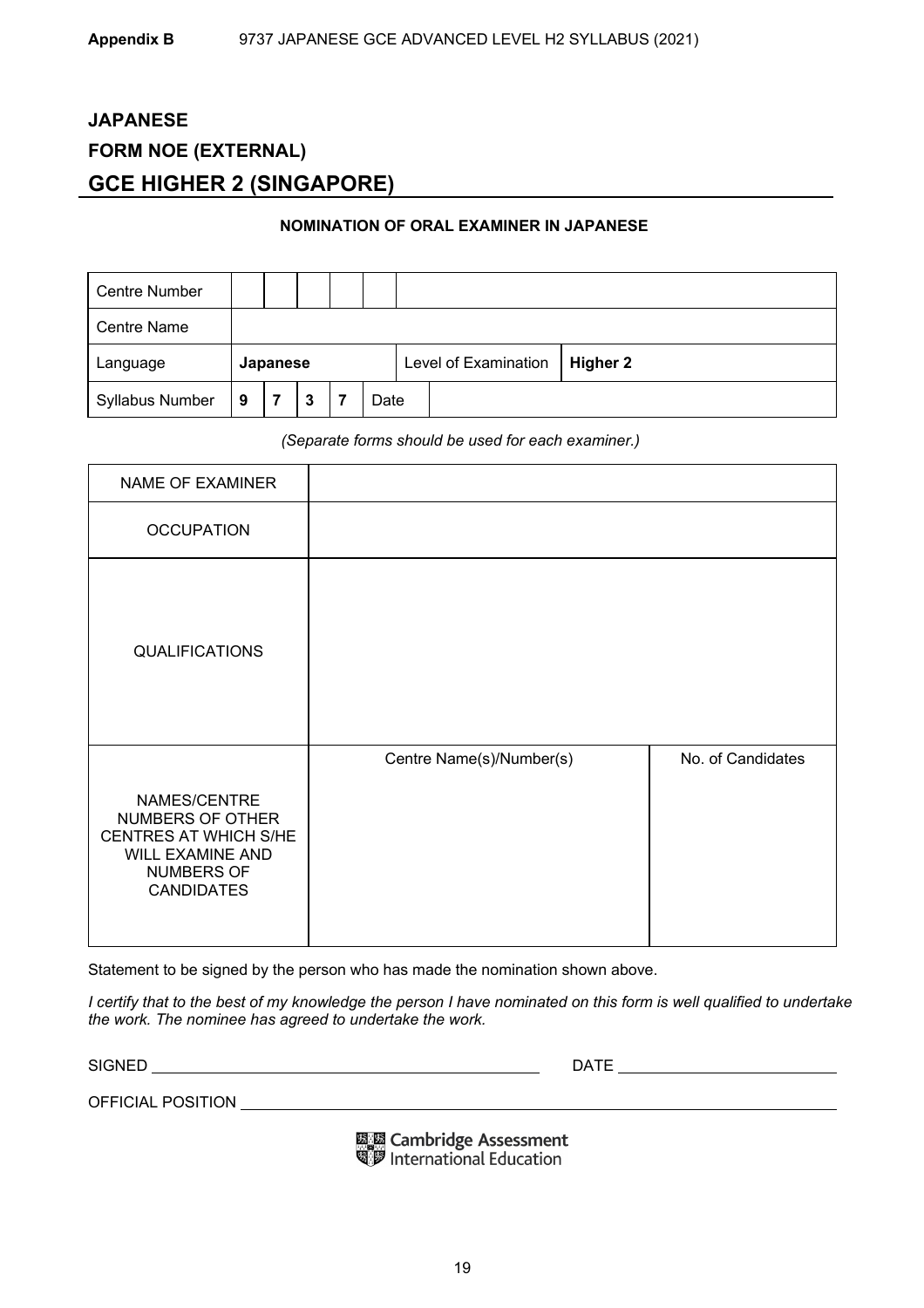## **JAPANESE FORM NOE (EXTERNAL) GCE HIGHER 2 (SINGAPORE)**

## **NOMINATION OF ORAL EXAMINER IN JAPANESE**

| <b>Centre Number</b>   |   |  |   |                      |          |  |  |  |
|------------------------|---|--|---|----------------------|----------|--|--|--|
| <b>Centre Name</b>     |   |  |   |                      |          |  |  |  |
| Japanese<br>Language   |   |  |   | Level of Examination | Higher 2 |  |  |  |
| <b>Syllabus Number</b> | 9 |  | 3 |                      | Date     |  |  |  |

*(Separate forms should be used for each examiner.)* 

| NAME OF EXAMINER                                                                                                 |                          |                   |
|------------------------------------------------------------------------------------------------------------------|--------------------------|-------------------|
| <b>OCCUPATION</b>                                                                                                |                          |                   |
| <b>QUALIFICATIONS</b>                                                                                            |                          |                   |
| NAMES/CENTRE<br>NUMBERS OF OTHER<br>CENTRES AT WHICH S/HE<br>WILL EXAMINE AND<br>NUMBERS OF<br><b>CANDIDATES</b> | Centre Name(s)/Number(s) | No. of Candidates |

Statement to be signed by the person who has made the nomination shown above.

*I certify that to the best of my knowledge the person I have nominated on this form is well qualified to undertake the work. The nominee has agreed to undertake the work.* 

SIGNED DATE

OFFICIAL POSITION

鳳凰 Cambridge Assessment<br>喝罗 International Education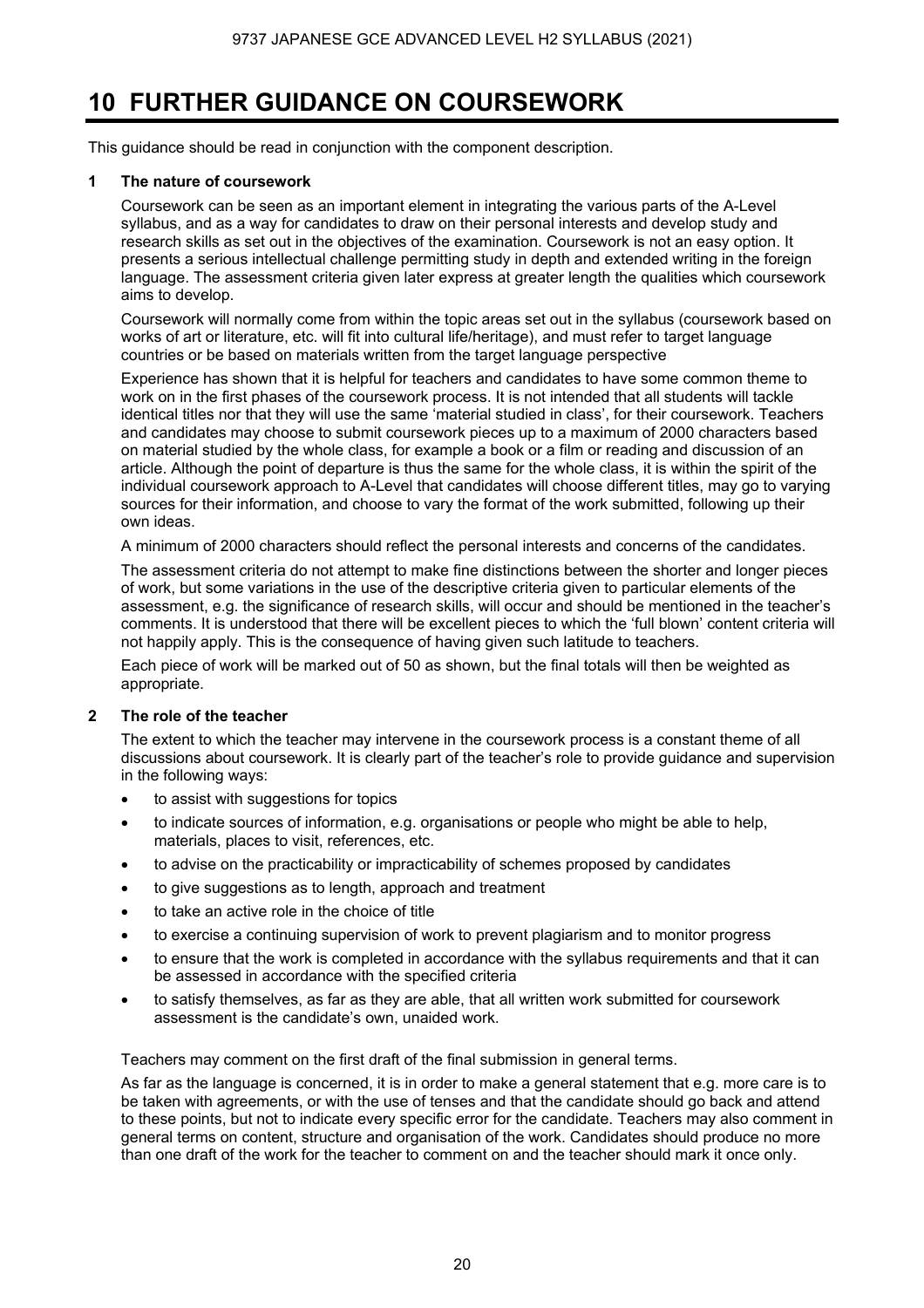## **10 FURTHER GUIDANCE ON COURSEWORK**

This guidance should be read in conjunction with the component description.

## **1 The nature of coursework**

 Coursework can be seen as an important element in integrating the various parts of the A-Level syllabus, and as a way for candidates to draw on their personal interests and develop study and research skills as set out in the objectives of the examination. Coursework is not an easy option. It presents a serious intellectual challenge permitting study in depth and extended writing in the foreign language. The assessment criteria given later express at greater length the qualities which coursework aims to develop.

 Coursework will normally come from within the topic areas set out in the syllabus (coursework based on works of art or literature, etc. will fit into cultural life/heritage), and must refer to target language countries or be based on materials written from the target language perspective

 Experience has shown that it is helpful for teachers and candidates to have some common theme to work on in the first phases of the coursework process. It is not intended that all students will tackle identical titles nor that they will use the same 'material studied in class', for their coursework. Teachers and candidates may choose to submit coursework pieces up to a maximum of 2000 characters based on material studied by the whole class, for example a book or a film or reading and discussion of an article. Although the point of departure is thus the same for the whole class, it is within the spirit of the individual coursework approach to A-Level that candidates will choose different titles, may go to varying sources for their information, and choose to vary the format of the work submitted, following up their own ideas.

A minimum of 2000 characters should reflect the personal interests and concerns of the candidates.

 The assessment criteria do not attempt to make fine distinctions between the shorter and longer pieces of work, but some variations in the use of the descriptive criteria given to particular elements of the assessment, e.g. the significance of research skills, will occur and should be mentioned in the teacher's comments. It is understood that there will be excellent pieces to which the 'full blown' content criteria will not happily apply. This is the consequence of having given such latitude to teachers.

Each piece of work will be marked out of 50 as shown, but the final totals will then be weighted as appropriate.

## **2 The role of the teacher**

The extent to which the teacher may intervene in the coursework process is a constant theme of all discussions about coursework. It is clearly part of the teacher's role to provide guidance and supervision in the following ways:

- to assist with suggestions for topics
- to indicate sources of information, e.g. organisations or people who might be able to help, materials, places to visit, references, etc.
- to advise on the practicability or impracticability of schemes proposed by candidates
- to give suggestions as to length, approach and treatment
- to take an active role in the choice of title
- to exercise a continuing supervision of work to prevent plagiarism and to monitor progress
- to ensure that the work is completed in accordance with the syllabus requirements and that it can be assessed in accordance with the specified criteria
- to satisfy themselves, as far as they are able, that all written work submitted for coursework assessment is the candidate's own, unaided work.

Teachers may comment on the first draft of the final submission in general terms.

As far as the language is concerned, it is in order to make a general statement that e.g. more care is to be taken with agreements, or with the use of tenses and that the candidate should go back and attend to these points, but not to indicate every specific error for the candidate. Teachers may also comment in general terms on content, structure and organisation of the work. Candidates should produce no more than one draft of the work for the teacher to comment on and the teacher should mark it once only.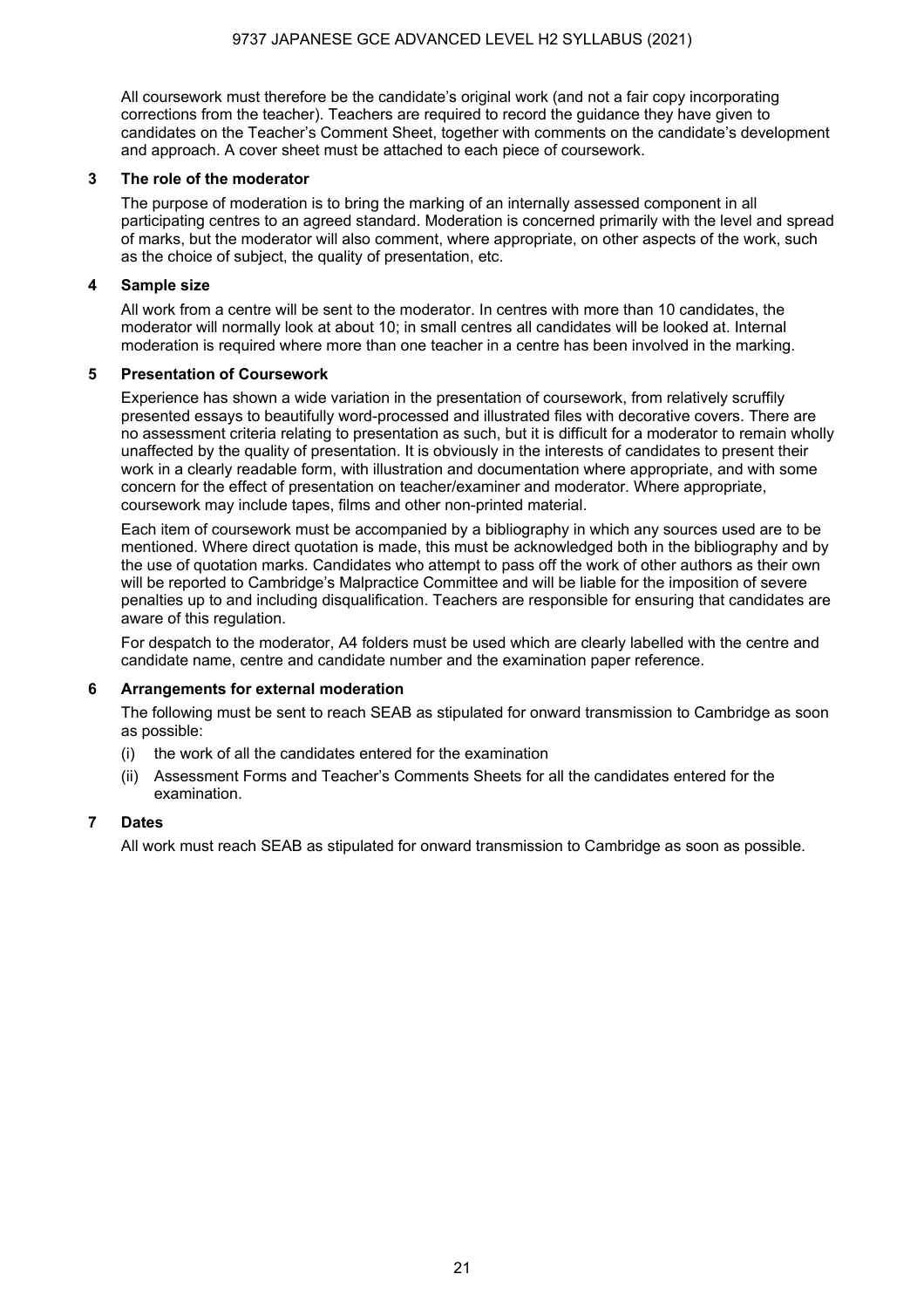All coursework must therefore be the candidate's original work (and not a fair copy incorporating corrections from the teacher). Teachers are required to record the guidance they have given to candidates on the Teacher's Comment Sheet, together with comments on the candidate's development and approach. A cover sheet must be attached to each piece of coursework.

### **3 The role of the moderator**

The purpose of moderation is to bring the marking of an internally assessed component in all participating centres to an agreed standard. Moderation is concerned primarily with the level and spread of marks, but the moderator will also comment, where appropriate, on other aspects of the work, such as the choice of subject, the quality of presentation, etc.

## **4 Sample size**

All work from a centre will be sent to the moderator. In centres with more than 10 candidates, the moderator will normally look at about 10; in small centres all candidates will be looked at. Internal moderation is required where more than one teacher in a centre has been involved in the marking.

### **5 Presentation of Coursework**

Experience has shown a wide variation in the presentation of coursework, from relatively scruffily presented essays to beautifully word-processed and illustrated files with decorative covers. There are no assessment criteria relating to presentation as such, but it is difficult for a moderator to remain wholly unaffected by the quality of presentation. It is obviously in the interests of candidates to present their work in a clearly readable form, with illustration and documentation where appropriate, and with some concern for the effect of presentation on teacher/examiner and moderator. Where appropriate, coursework may include tapes, films and other non-printed material.

Each item of coursework must be accompanied by a bibliography in which any sources used are to be mentioned. Where direct quotation is made, this must be acknowledged both in the bibliography and by the use of quotation marks. Candidates who attempt to pass off the work of other authors as their own will be reported to Cambridge's Malpractice Committee and will be liable for the imposition of severe penalties up to and including disqualification. Teachers are responsible for ensuring that candidates are aware of this regulation.

For despatch to the moderator, A4 folders must be used which are clearly labelled with the centre and candidate name, centre and candidate number and the examination paper reference.

## **6 Arrangements for external moderation**

The following must be sent to reach SEAB as stipulated for onward transmission to Cambridge as soon as possible:

- (i) the work of all the candidates entered for the examination
- (ii) Assessment Forms and Teacher's Comments Sheets for all the candidates entered for the examination.

## **7 Dates**

All work must reach SEAB as stipulated for onward transmission to Cambridge as soon as possible.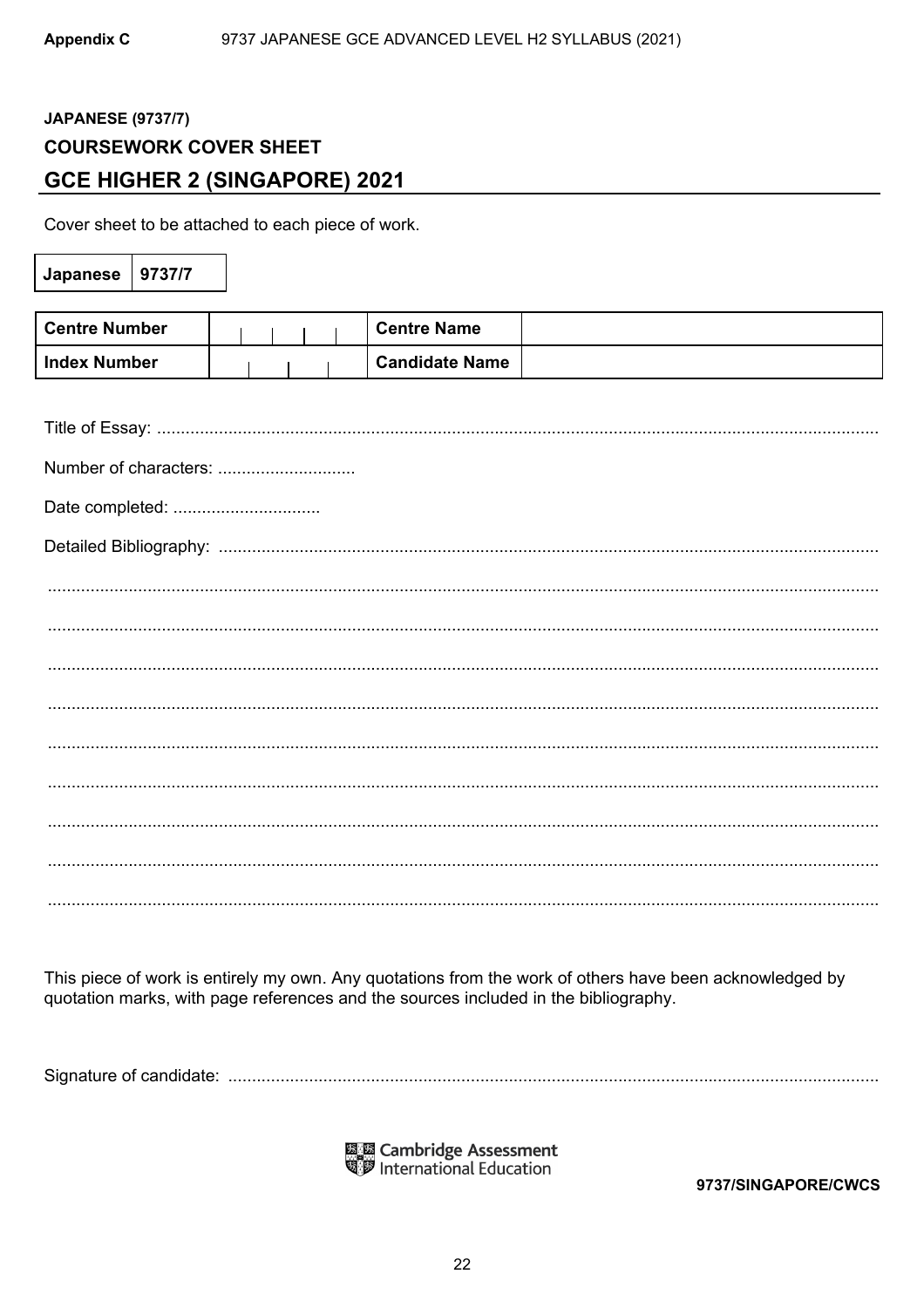## **JAPANESE (9737/7) COURSEWORK COVER SHEET GCE HIGHER 2 (SINGAPORE) 2021**

Cover sheet to be attached to each piece of work.

| Japanese              | 9737/7 |  |  |                       |
|-----------------------|--------|--|--|-----------------------|
|                       |        |  |  |                       |
| <b>Centre Number</b>  |        |  |  | <b>Centre Name</b>    |
| <b>Index Number</b>   |        |  |  | <b>Candidate Name</b> |
|                       |        |  |  |                       |
|                       |        |  |  |                       |
| Number of characters: |        |  |  |                       |
| Date completed:       |        |  |  |                       |
|                       |        |  |  |                       |
|                       |        |  |  |                       |
|                       |        |  |  |                       |
|                       |        |  |  |                       |
|                       |        |  |  |                       |
|                       |        |  |  |                       |
|                       |        |  |  |                       |
|                       |        |  |  |                       |
|                       |        |  |  |                       |
|                       |        |  |  |                       |

This piece of work is entirely my own. Any quotations from the work of others have been acknowledged by quotation marks, with page references and the sources included in the bibliography.

鳳凰 Cambridge Assessment<br>喝罗 International Education

9737/SINGAPORE/CWCS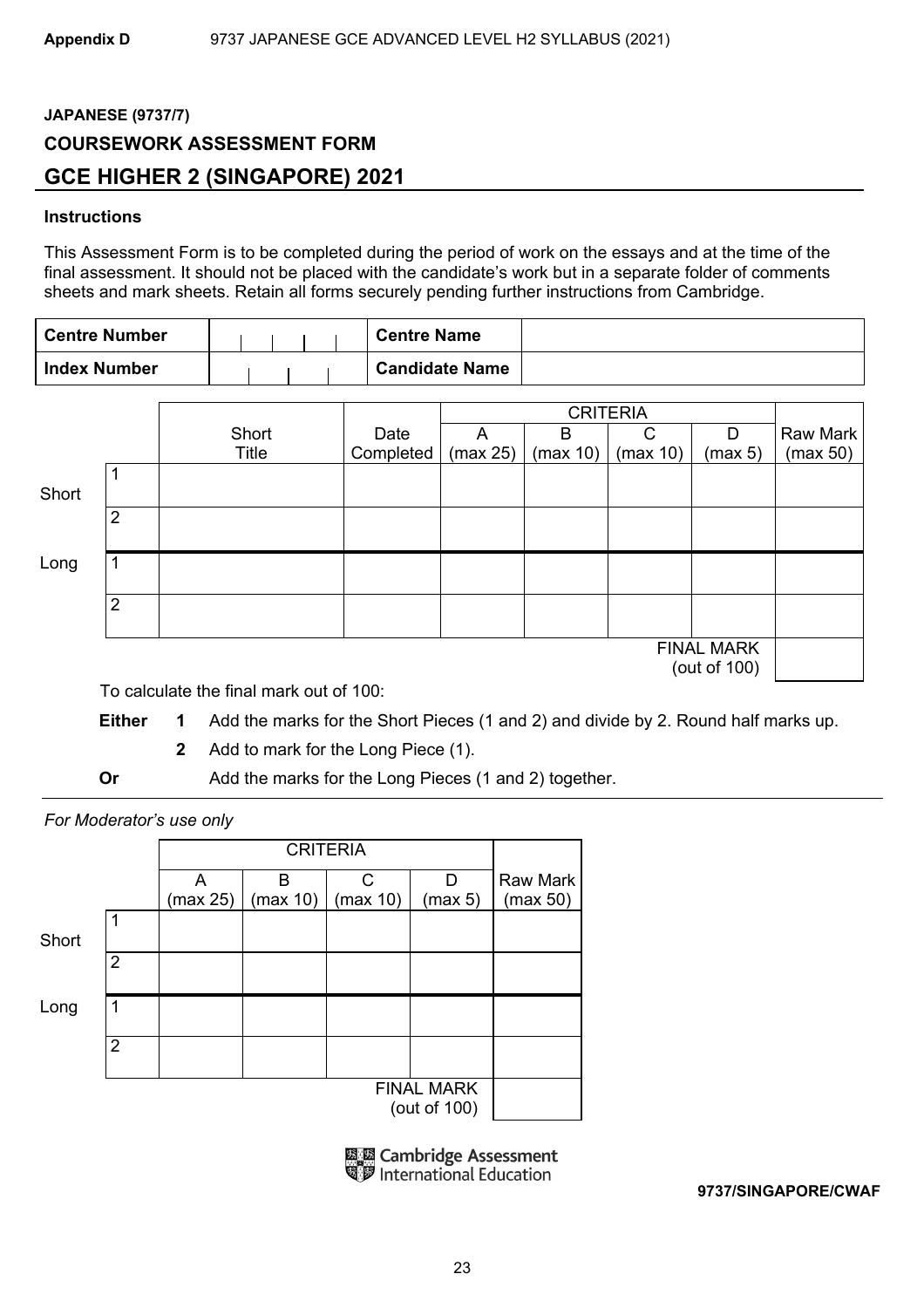## **JAPANESE (9737/7) COURSEWORK ASSESSMENT FORM GCE HIGHER 2 (SINGAPORE) 2021**

## **Instructions**

This Assessment Form is to be completed during the period of work on the essays and at the time of the final assessment. It should not be placed with the candidate's work but in a separate folder of comments sheets and mark sheets. Retain all forms securely pending further instructions from Cambridge.

| <b>Centre Number</b> | <b>Centre Name</b>    |  |
|----------------------|-----------------------|--|
| <b>Index Number</b>  | <b>Candidate Name</b> |  |

|       |                |       |           |          | <b>CRITERIA</b> |          |                                   |          |
|-------|----------------|-------|-----------|----------|-----------------|----------|-----------------------------------|----------|
|       |                | Short | Date      | A        | B               | С        | D                                 | Raw Mark |
|       |                | Title | Completed | (max 25) | (max 10)        | (max 10) | (max 5)                           | (max 50) |
| Short |                |       |           |          |                 |          |                                   |          |
|       | 2              |       |           |          |                 |          |                                   |          |
| Long  |                |       |           |          |                 |          |                                   |          |
|       | $\overline{2}$ |       |           |          |                 |          |                                   |          |
|       |                |       |           |          |                 |          | <b>FINAL MARK</b><br>(out of 100) |          |

To calculate the final mark out of 100:

**Either 1** Add the marks for the Short Pieces (1 and 2) and divide by 2. Round half marks up.

**2** Add to mark for the Long Piece (1).

**Or** Add the marks for the Long Pieces (1 and 2) together.

*For Moderator's use only* 

|       |                | A<br>(max 25) | в<br>(max 10) | C<br>(max 10) | D<br>(max 5)                      | <b>Raw Mark</b><br>(max 50) |
|-------|----------------|---------------|---------------|---------------|-----------------------------------|-----------------------------|
| Short | 1              |               |               |               |                                   |                             |
|       | $\overline{2}$ |               |               |               |                                   |                             |
| Long  | 1              |               |               |               |                                   |                             |
|       | $\overline{2}$ |               |               |               |                                   |                             |
|       |                |               |               |               | <b>FINAL MARK</b><br>(out of 100) |                             |

**EN Cambridge Assessment** International Education

**9737/SINGAPORE/CWAF**